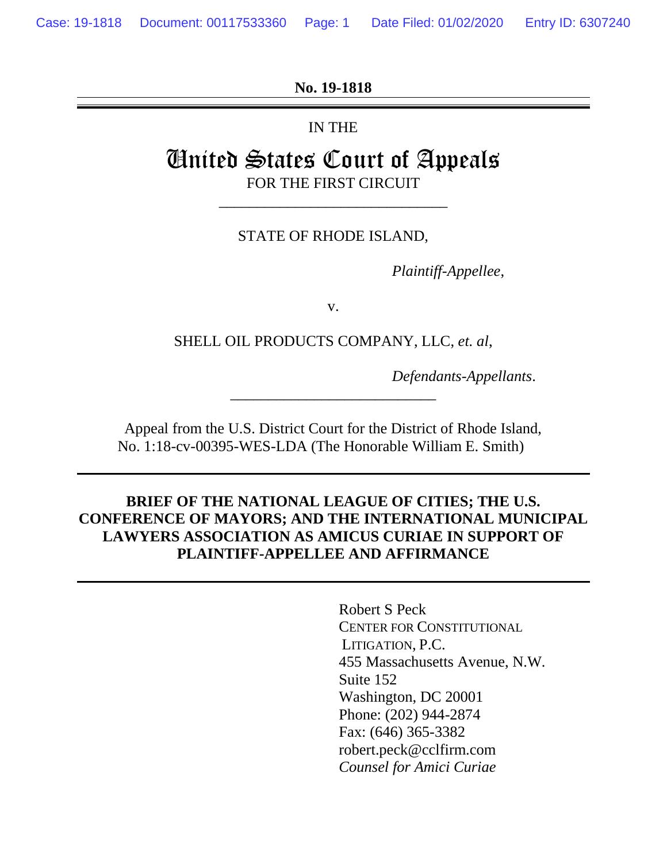**No. 19-1818**

IN THE

# United States Court of Appeals FOR THE FIRST CIRCUIT

STATE OF RHODE ISLAND,

\_\_\_\_\_\_\_\_\_\_\_\_\_\_\_\_\_\_\_\_\_\_\_\_\_\_\_\_\_\_

*Plaintiff-Appellee*,

v.

SHELL OIL PRODUCTS COMPANY, LLC, *et. al*,

*Defendants-Appellants*.

Appeal from the U.S. District Court for the District of Rhode Island, No. 1:18-cv-00395-WES-LDA (The Honorable William E. Smith)

\_\_\_\_\_\_\_\_\_\_\_\_\_\_\_\_\_\_\_\_\_\_\_\_\_\_\_

### **BRIEF OF THE NATIONAL LEAGUE OF CITIES; THE U.S. CONFERENCE OF MAYORS; AND THE INTERNATIONAL MUNICIPAL LAWYERS ASSOCIATION AS AMICUS CURIAE IN SUPPORT OF PLAINTIFF-APPELLEE AND AFFIRMANCE**

Robert S Peck CENTER FOR CONSTITUTIONAL LITIGATION, P.C. 455 Massachusetts Avenue, N.W. Suite 152 Washington, DC 20001 Phone: (202) 944-2874 Fax: (646) 365-3382 robert.peck@cclfirm.com *Counsel for Amici Curiae*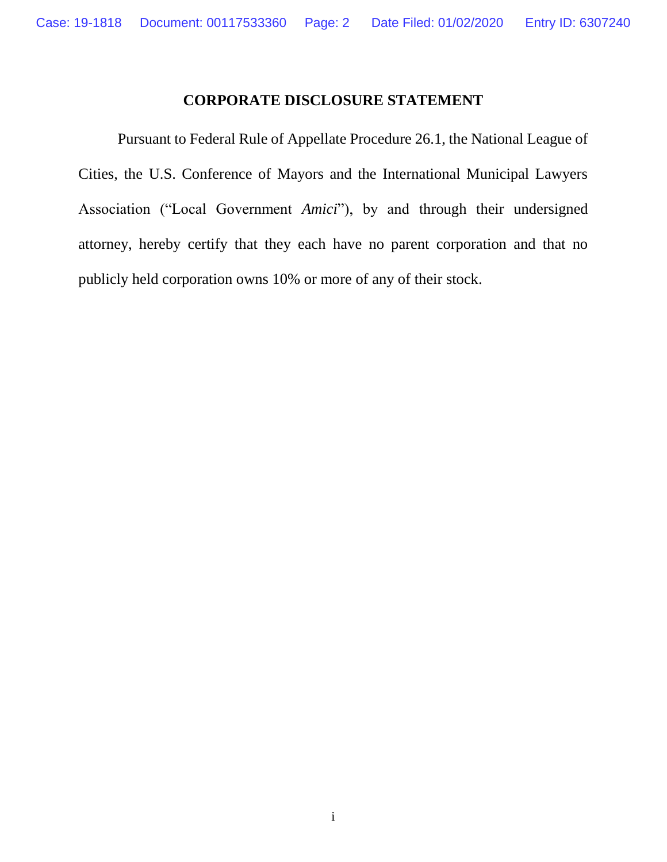### **CORPORATE DISCLOSURE STATEMENT**

<span id="page-1-0"></span>Pursuant to Federal Rule of Appellate Procedure 26.1, the National League of Cities, the U.S. Conference of Mayors and the International Municipal Lawyers Association ("Local Government *Amici*"), by and through their undersigned attorney, hereby certify that they each have no parent corporation and that no publicly held corporation owns 10% or more of any of their stock.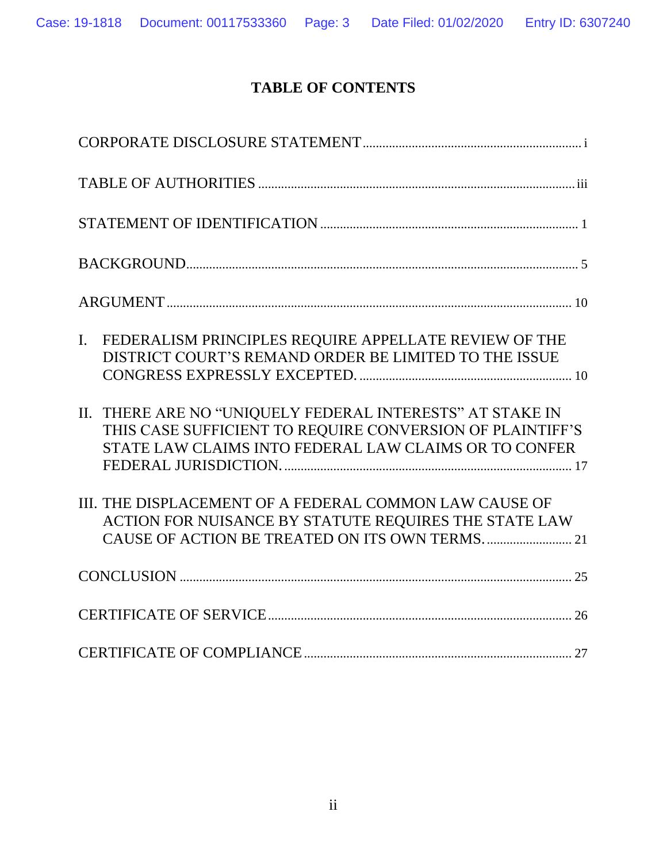## **TABLE OF CONTENTS**

| FEDERALISM PRINCIPLES REQUIRE APPELLATE REVIEW OF THE<br>$\mathbf{I}$ .<br>DISTRICT COURT'S REMAND ORDER BE LIMITED TO THE ISSUE                                                |
|---------------------------------------------------------------------------------------------------------------------------------------------------------------------------------|
| II. THERE ARE NO "UNIQUELY FEDERAL INTERESTS" AT STAKE IN<br>THIS CASE SUFFICIENT TO REQUIRE CONVERSION OF PLAINTIFF'S<br>STATE LAW CLAIMS INTO FEDERAL LAW CLAIMS OR TO CONFER |
| III. THE DISPLACEMENT OF A FEDERAL COMMON LAW CAUSE OF<br>ACTION FOR NUISANCE BY STATUTE REQUIRES THE STATE LAW                                                                 |
|                                                                                                                                                                                 |
|                                                                                                                                                                                 |
|                                                                                                                                                                                 |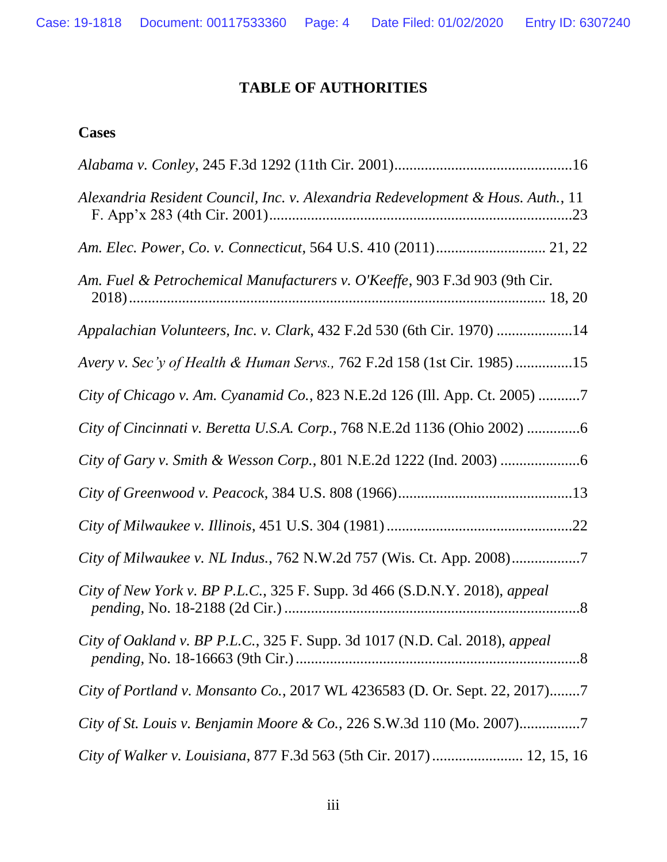## **TABLE OF AUTHORITIES**

### <span id="page-3-0"></span>**Cases**

| Alexandria Resident Council, Inc. v. Alexandria Redevelopment & Hous. Auth., 11 |
|---------------------------------------------------------------------------------|
|                                                                                 |
| Am. Fuel & Petrochemical Manufacturers v. O'Keeffe, 903 F.3d 903 (9th Cir.      |
| Appalachian Volunteers, Inc. v. Clark, 432 F.2d 530 (6th Cir. 1970) 14          |
| Avery v. Sec'y of Health & Human Servs., 762 F.2d 158 (1st Cir. 1985) 15        |
| City of Chicago v. Am. Cyanamid Co., 823 N.E.2d 126 (Ill. App. Ct. 2005) 7      |
| City of Cincinnati v. Beretta U.S.A. Corp., 768 N.E.2d 1136 (Ohio 2002) 6       |
|                                                                                 |
|                                                                                 |
|                                                                                 |
| City of Milwaukee v. NL Indus., 762 N.W.2d 757 (Wis. Ct. App. 2008)7            |
| City of New York v. BP P.L.C., 325 F. Supp. 3d 466 (S.D.N.Y. 2018), appeal      |
| City of Oakland v. BP P.L.C., 325 F. Supp. 3d 1017 (N.D. Cal. 2018), appeal     |
| City of Portland v. Monsanto Co., 2017 WL 4236583 (D. Or. Sept. 22, 2017)7      |
| City of St. Louis v. Benjamin Moore & Co., 226 S.W.3d 110 (Mo. 2007)7           |
| City of Walker v. Louisiana, 877 F.3d 563 (5th Cir. 2017)  12, 15, 16           |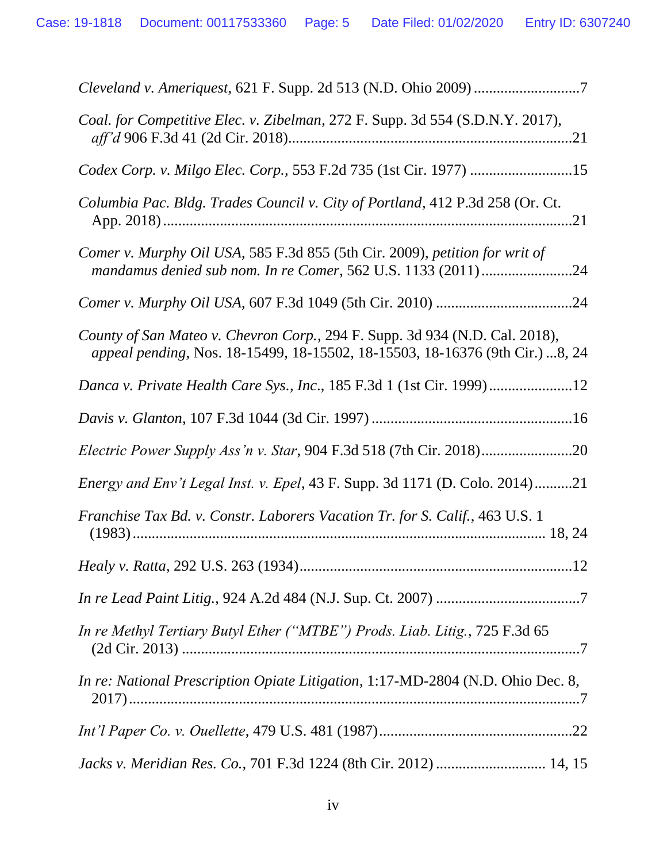| Coal. for Competitive Elec. v. Zibelman, 272 F. Supp. 3d 554 (S.D.N.Y. 2017),                                                                               |
|-------------------------------------------------------------------------------------------------------------------------------------------------------------|
| Codex Corp. v. Milgo Elec. Corp., 553 F.2d 735 (1st Cir. 1977) 15                                                                                           |
| Columbia Pac. Bldg. Trades Council v. City of Portland, 412 P.3d 258 (Or. Ct.                                                                               |
| Comer v. Murphy Oil USA, 585 F.3d 855 (5th Cir. 2009), petition for writ of<br>mandamus denied sub nom. In re Comer, 562 U.S. 1133 (2011)24                 |
|                                                                                                                                                             |
| County of San Mateo v. Chevron Corp., 294 F. Supp. 3d 934 (N.D. Cal. 2018),<br>appeal pending, Nos. 18-15499, 18-15502, 18-15503, 18-16376 (9th Cir.) 8, 24 |
| Danca v. Private Health Care Sys., Inc., 185 F.3d 1 (1st Cir. 1999)12                                                                                       |
|                                                                                                                                                             |
| <i>Electric Power Supply Ass'n v. Star, 904 F.3d 518 (7th Cir. 2018)</i>                                                                                    |
| Energy and Env't Legal Inst. v. Epel, 43 F. Supp. 3d 1171 (D. Colo. 2014)21                                                                                 |
| Franchise Tax Bd. v. Constr. Laborers Vacation Tr. for S. Calif., 463 U.S. 1                                                                                |
| 12                                                                                                                                                          |
|                                                                                                                                                             |
| In re Methyl Tertiary Butyl Ether ("MTBE") Prods. Liab. Litig., 725 F.3d 65                                                                                 |
| In re: National Prescription Opiate Litigation, 1:17-MD-2804 (N.D. Ohio Dec. 8,                                                                             |
|                                                                                                                                                             |
| Jacks v. Meridian Res. Co., 701 F.3d 1224 (8th Cir. 2012)  14, 15                                                                                           |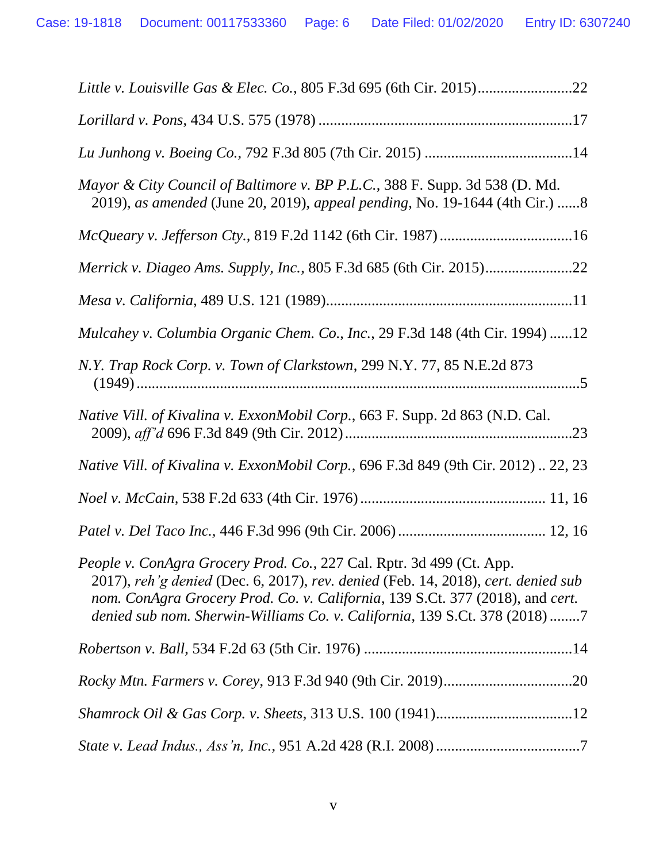| Mayor & City Council of Baltimore v. BP P.L.C., 388 F. Supp. 3d 538 (D. Md.<br>2019), as amended (June 20, 2019), appeal pending, No. 19-1644 (4th Cir.) 8                                                                                                                                                              |
|-------------------------------------------------------------------------------------------------------------------------------------------------------------------------------------------------------------------------------------------------------------------------------------------------------------------------|
|                                                                                                                                                                                                                                                                                                                         |
|                                                                                                                                                                                                                                                                                                                         |
|                                                                                                                                                                                                                                                                                                                         |
| Mulcahey v. Columbia Organic Chem. Co., Inc., 29 F.3d 148 (4th Cir. 1994) 12                                                                                                                                                                                                                                            |
| N.Y. Trap Rock Corp. v. Town of Clarkstown, 299 N.Y. 77, 85 N.E.2d 873                                                                                                                                                                                                                                                  |
| Native Vill. of Kivalina v. ExxonMobil Corp., 663 F. Supp. 2d 863 (N.D. Cal.<br>.23                                                                                                                                                                                                                                     |
| Native Vill. of Kivalina v. ExxonMobil Corp., 696 F.3d 849 (9th Cir. 2012)  22, 23                                                                                                                                                                                                                                      |
|                                                                                                                                                                                                                                                                                                                         |
|                                                                                                                                                                                                                                                                                                                         |
| People v. ConAgra Grocery Prod. Co., 227 Cal. Rptr. 3d 499 (Ct. App.<br>2017), reh'g denied (Dec. 6, 2017), rev. denied (Feb. 14, 2018), cert. denied sub<br>nom. ConAgra Grocery Prod. Co. v. California, 139 S.Ct. 377 (2018), and cert.<br>denied sub nom. Sherwin-Williams Co. v. California, 139 S.Ct. 378 (2018)7 |
|                                                                                                                                                                                                                                                                                                                         |
|                                                                                                                                                                                                                                                                                                                         |
|                                                                                                                                                                                                                                                                                                                         |
|                                                                                                                                                                                                                                                                                                                         |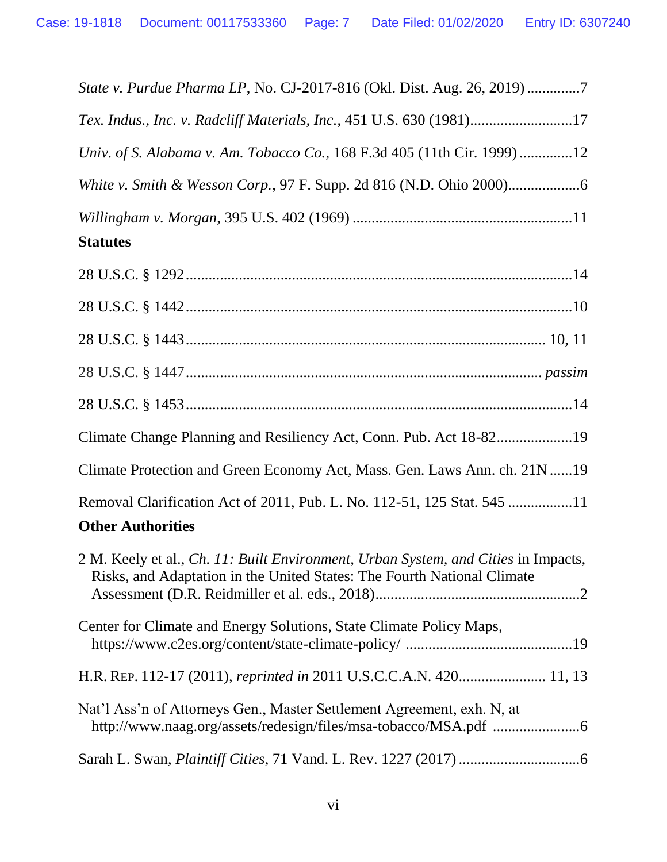| State v. Purdue Pharma LP, No. CJ-2017-816 (Okl. Dist. Aug. 26, 2019)7                                                                                        |
|---------------------------------------------------------------------------------------------------------------------------------------------------------------|
| Tex. Indus., Inc. v. Radcliff Materials, Inc., 451 U.S. 630 (1981)17                                                                                          |
| Univ. of S. Alabama v. Am. Tobacco Co., 168 F.3d 405 (11th Cir. 1999)12                                                                                       |
|                                                                                                                                                               |
| <b>Statutes</b>                                                                                                                                               |
|                                                                                                                                                               |
|                                                                                                                                                               |
|                                                                                                                                                               |
|                                                                                                                                                               |
|                                                                                                                                                               |
| Climate Change Planning and Resiliency Act, Conn. Pub. Act 18-8219                                                                                            |
| Climate Protection and Green Economy Act, Mass. Gen. Laws Ann. ch. 21N 19                                                                                     |
| Removal Clarification Act of 2011, Pub. L. No. 112-51, 125 Stat. 545 11<br><b>Other Authorities</b>                                                           |
| 2 M. Keely et al., Ch. 11: Built Environment, Urban System, and Cities in Impacts,<br>Risks, and Adaptation in the United States: The Fourth National Climate |
| Center for Climate and Energy Solutions, State Climate Policy Maps,                                                                                           |
| H.R. REP. 112-17 (2011), reprinted in 2011 U.S.C.C.A.N. 420 11, 13                                                                                            |
| Nat'l Ass'n of Attorneys Gen., Master Settlement Agreement, exh. N, at                                                                                        |

Sarah L. Swan, *Plaintiff Cities*, 71 Vand. L. Rev. 1227 (2017)................................6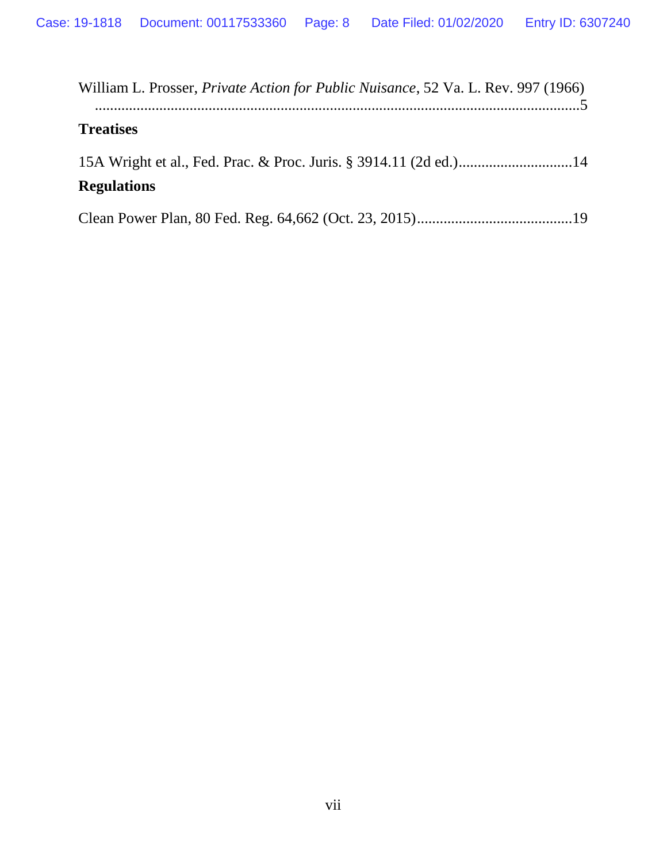| William L. Prosser, <i>Private Action for Public Nuisance</i> , 52 Va. L. Rev. 997 (1966) |
|-------------------------------------------------------------------------------------------|
| <b>Treatises</b>                                                                          |
|                                                                                           |
| <b>Regulations</b>                                                                        |
|                                                                                           |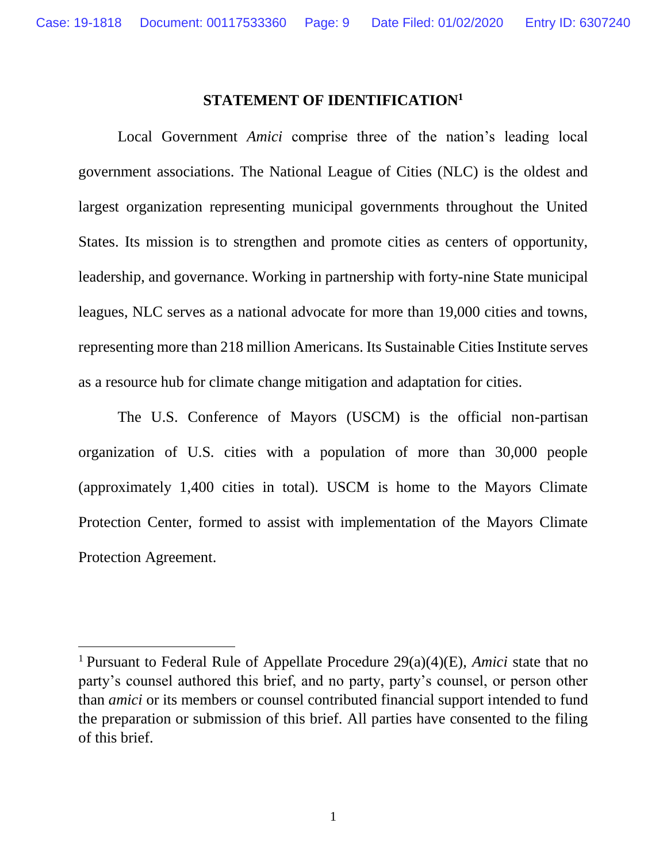### **STATEMENT OF IDENTIFICATION<sup>1</sup>**

<span id="page-8-0"></span>Local Government *Amici* comprise three of the nation's leading local government associations. The National League of Cities (NLC) is the oldest and largest organization representing municipal governments throughout the United States. Its mission is to strengthen and promote cities as centers of opportunity, leadership, and governance. Working in partnership with forty-nine State municipal leagues, NLC serves as a national advocate for more than 19,000 cities and towns, representing more than 218 million Americans. Its Sustainable Cities Institute serves as a resource hub for climate change mitigation and adaptation for cities.

The U.S. Conference of Mayors (USCM) is the official non-partisan organization of U.S. cities with a population of more than 30,000 people (approximately 1,400 cities in total). USCM is home to the Mayors Climate Protection Center, formed to assist with implementation of the Mayors Climate Protection Agreement.

 $\overline{a}$ 

<sup>1</sup>Pursuant to Federal Rule of Appellate Procedure 29(a)(4)(E), *Amici* state that no party's counsel authored this brief, and no party, party's counsel, or person other than *amici* or its members or counsel contributed financial support intended to fund the preparation or submission of this brief. All parties have consented to the filing of this brief.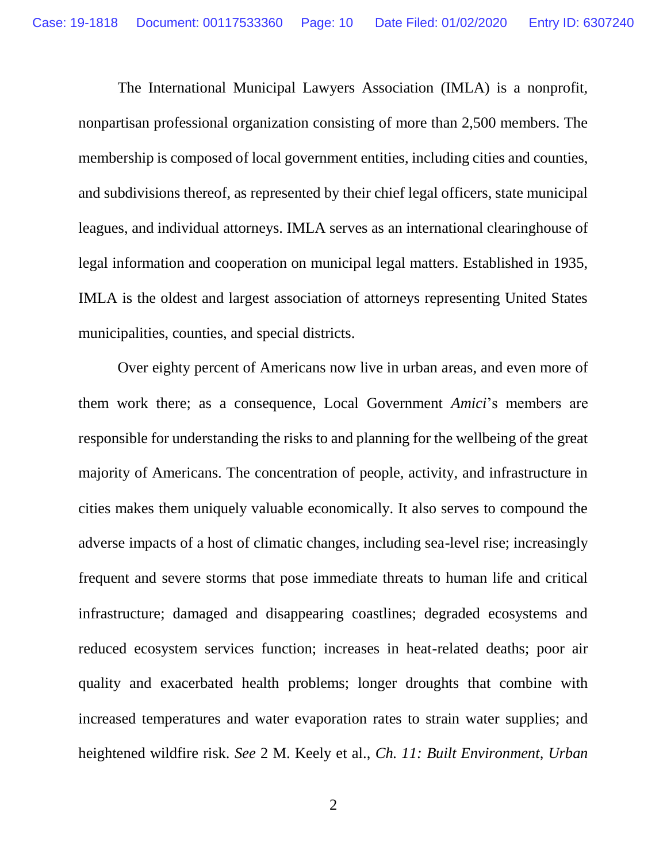The International Municipal Lawyers Association (IMLA) is a nonprofit, nonpartisan professional organization consisting of more than 2,500 members. The membership is composed of local government entities, including cities and counties, and subdivisions thereof, as represented by their chief legal officers, state municipal leagues, and individual attorneys. IMLA serves as an international clearinghouse of legal information and cooperation on municipal legal matters. Established in 1935, IMLA is the oldest and largest association of attorneys representing United States municipalities, counties, and special districts.

Over eighty percent of Americans now live in urban areas, and even more of them work there; as a consequence, Local Government *Amici*'s members are responsible for understanding the risks to and planning for the wellbeing of the great majority of Americans. The concentration of people, activity, and infrastructure in cities makes them uniquely valuable economically. It also serves to compound the adverse impacts of a host of climatic changes, including sea-level rise; increasingly frequent and severe storms that pose immediate threats to human life and critical infrastructure; damaged and disappearing coastlines; degraded ecosystems and reduced ecosystem services function; increases in heat-related deaths; poor air quality and exacerbated health problems; longer droughts that combine with increased temperatures and water evaporation rates to strain water supplies; and heightened wildfire risk. *See* 2 M. Keely et al., *Ch. 11: Built Environment, Urban*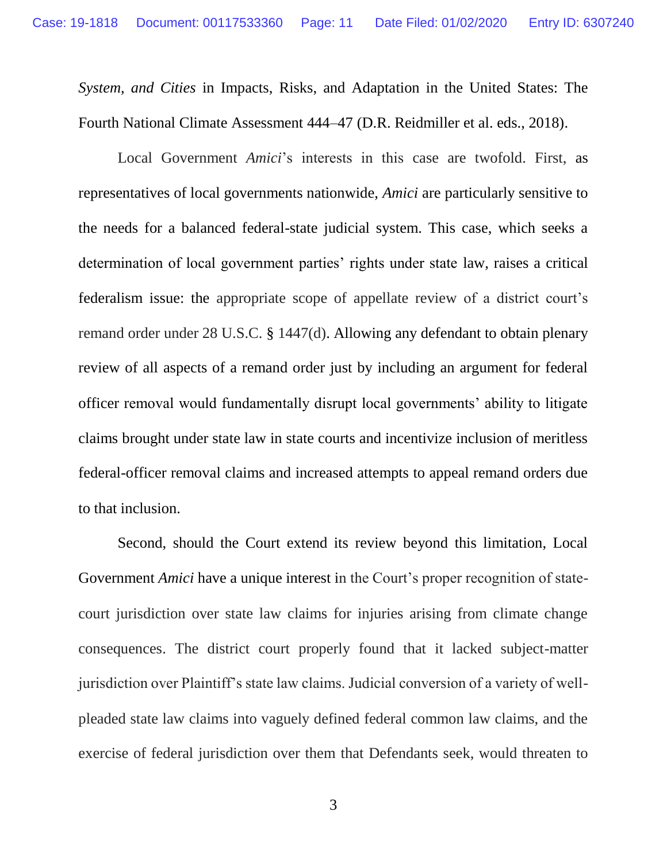*System, and Cities* in Impacts, Risks, and Adaptation in the United States: The Fourth National Climate Assessment 444–47 (D.R. Reidmiller et al. eds., 2018).

Local Government *Amici*'s interests in this case are twofold. First, as representatives of local governments nationwide, *Amici* are particularly sensitive to the needs for a balanced federal-state judicial system. This case, which seeks a determination of local government parties' rights under state law, raises a critical federalism issue: the appropriate scope of appellate review of a district court's remand order under 28 U.S.C. § 1447(d). Allowing any defendant to obtain plenary review of all aspects of a remand order just by including an argument for federal officer removal would fundamentally disrupt local governments' ability to litigate claims brought under state law in state courts and incentivize inclusion of meritless federal-officer removal claims and increased attempts to appeal remand orders due to that inclusion.

Second, should the Court extend its review beyond this limitation, Local Government *Amici* have a unique interest in the Court's proper recognition of statecourt jurisdiction over state law claims for injuries arising from climate change consequences. The district court properly found that it lacked subject-matter jurisdiction over Plaintiff's state law claims. Judicial conversion of a variety of wellpleaded state law claims into vaguely defined federal common law claims, and the exercise of federal jurisdiction over them that Defendants seek, would threaten to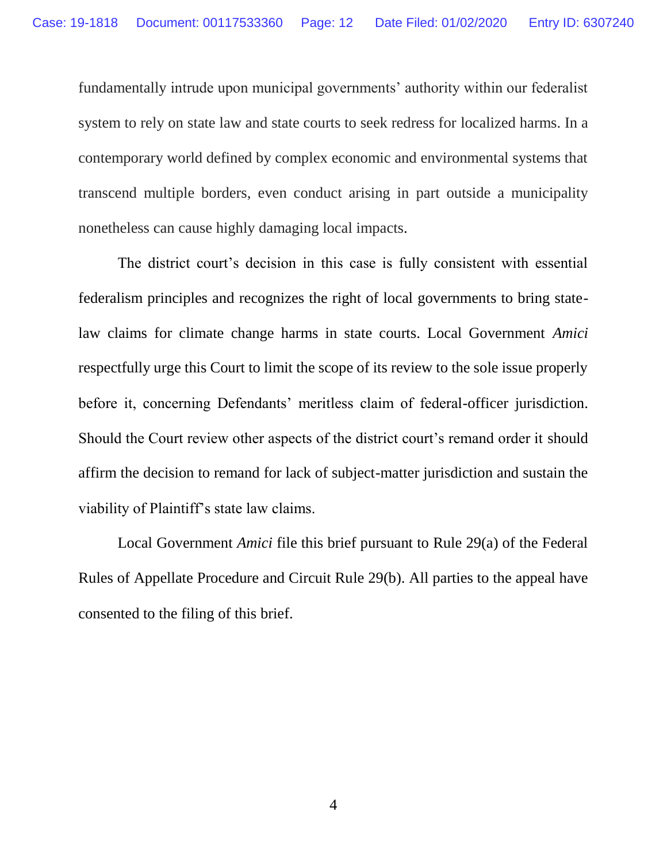fundamentally intrude upon municipal governments' authority within our federalist system to rely on state law and state courts to seek redress for localized harms. In a contemporary world defined by complex economic and environmental systems that transcend multiple borders, even conduct arising in part outside a municipality nonetheless can cause highly damaging local impacts.

The district court's decision in this case is fully consistent with essential federalism principles and recognizes the right of local governments to bring statelaw claims for climate change harms in state courts. Local Government *Amici* respectfully urge this Court to limit the scope of its review to the sole issue properly before it, concerning Defendants' meritless claim of federal-officer jurisdiction. Should the Court review other aspects of the district court's remand order it should affirm the decision to remand for lack of subject-matter jurisdiction and sustain the viability of Plaintiff's state law claims.

Local Government *Amici* file this brief pursuant to Rule 29(a) of the Federal Rules of Appellate Procedure and Circuit Rule 29(b). All parties to the appeal have consented to the filing of this brief.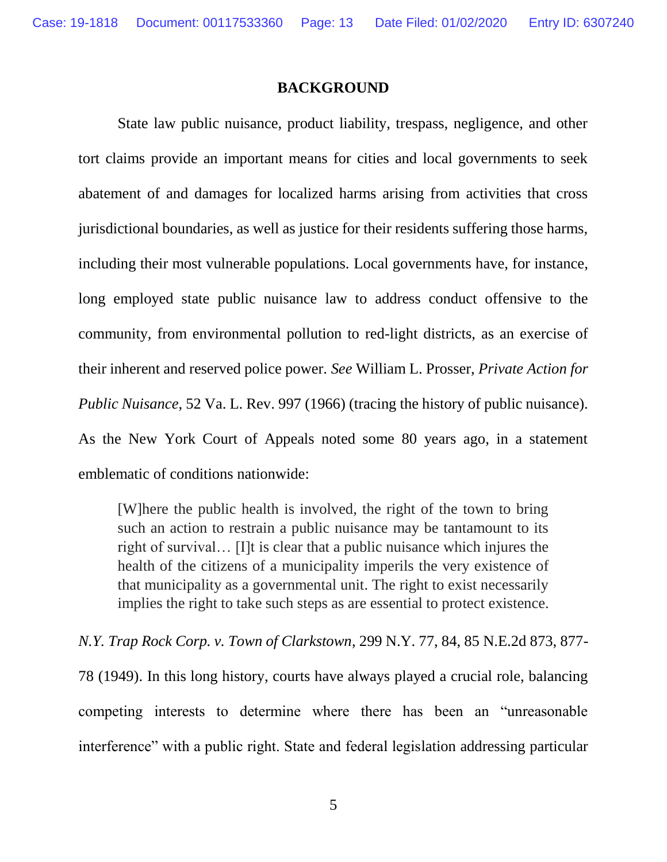#### **BACKGROUND**

<span id="page-12-0"></span>State law public nuisance, product liability, trespass, negligence, and other tort claims provide an important means for cities and local governments to seek abatement of and damages for localized harms arising from activities that cross jurisdictional boundaries, as well as justice for their residents suffering those harms, including their most vulnerable populations. Local governments have, for instance, long employed state public nuisance law to address conduct offensive to the community, from environmental pollution to red-light districts, as an exercise of their inherent and reserved police power. *See* William L. Prosser, *Private Action for Public Nuisance*, 52 Va. L. Rev. 997 (1966) (tracing the history of public nuisance). As the New York Court of Appeals noted some 80 years ago, in a statement emblematic of conditions nationwide:

[W]here the public health is involved, the right of the town to bring such an action to restrain a public nuisance may be tantamount to its right of survival… [I]t is clear that a public nuisance which injures the health of the citizens of a municipality imperils the very existence of that municipality as a governmental unit. The right to exist necessarily implies the right to take such steps as are essential to protect existence.

*N.Y. Trap Rock Corp. v. Town of Clarkstown*, 299 N.Y. 77, 84, 85 N.E.2d 873, 877- 78 (1949). In this long history, courts have always played a crucial role, balancing competing interests to determine where there has been an "unreasonable interference" with a public right. State and federal legislation addressing particular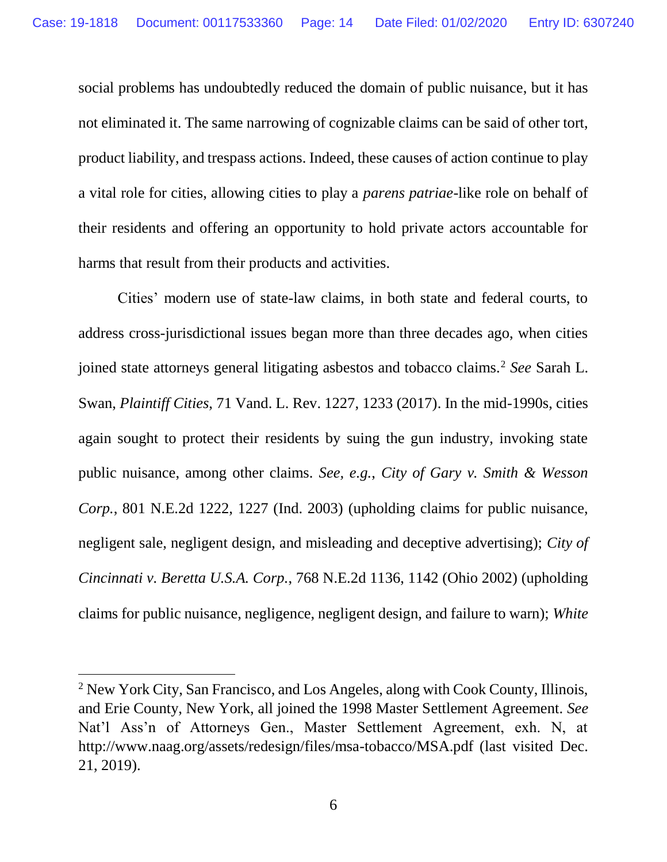social problems has undoubtedly reduced the domain of public nuisance, but it has not eliminated it. The same narrowing of cognizable claims can be said of other tort, product liability, and trespass actions. Indeed, these causes of action continue to play a vital role for cities, allowing cities to play a *parens patriae*-like role on behalf of their residents and offering an opportunity to hold private actors accountable for harms that result from their products and activities.

Cities' modern use of state-law claims, in both state and federal courts, to address cross-jurisdictional issues began more than three decades ago, when cities joined state attorneys general litigating asbestos and tobacco claims.<sup>2</sup> *See* Sarah L. Swan, *Plaintiff Cities*, 71 Vand. L. Rev. 1227, 1233 (2017). In the mid-1990s, cities again sought to protect their residents by suing the gun industry, invoking state public nuisance, among other claims. *See, e.g.*, *City of Gary v. Smith & Wesson Corp.*, 801 N.E.2d 1222, 1227 (Ind. 2003) (upholding claims for public nuisance, negligent sale, negligent design, and misleading and deceptive advertising); *City of Cincinnati v. Beretta U.S.A. Corp.*, 768 N.E.2d 1136, 1142 (Ohio 2002) (upholding claims for public nuisance, negligence, negligent design, and failure to warn); *White* 

 $\overline{a}$ 

<sup>2</sup> New York City, San Francisco, and Los Angeles, along with Cook County, Illinois, and Erie County, New York, all joined the 1998 Master Settlement Agreement. *See* Nat'l Ass'n of Attorneys Gen., Master Settlement Agreement, exh. N, at [http://www.naag.org/assets/redesign/files/msa-tobacco/MSA.pdf](www.naag.org/assets/redesign/files/msa-tobacco/MSA.pdf) (last visited Dec. 21, 2019).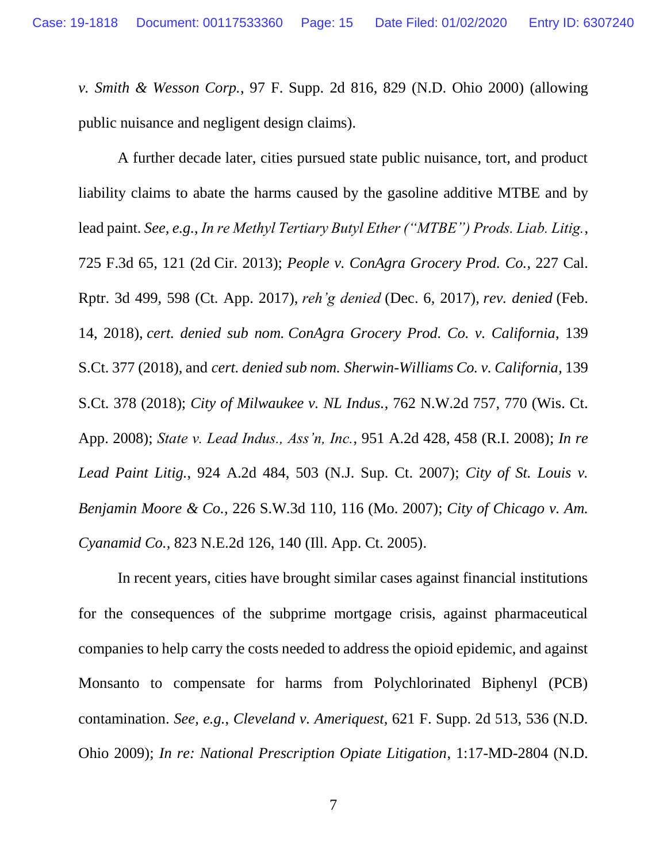*v. Smith & Wesson Corp.*, 97 F. Supp. 2d 816, 829 (N.D. Ohio 2000) (allowing public nuisance and negligent design claims).

A further decade later, cities pursued state public nuisance, tort, and product liability claims to abate the harms caused by the gasoline additive MTBE and by lead paint. *See, e.g.*, *In re Methyl Tertiary Butyl Ether ("MTBE") Prods. Liab. Litig.*, 725 F.3d 65, 121 (2d Cir. 2013); *People v. ConAgra Grocery Prod. Co.*, 227 Cal. Rptr. 3d 499, 598 (Ct. App. 2017), *reh'g denied* (Dec. 6, 2017), *rev. denied* (Feb. 14, 2018), *cert. denied sub nom. ConAgra Grocery Prod. Co. v. California*, 139 S.Ct. 377 (2018), and *cert. denied sub nom. Sherwin-Williams Co. v. California*, 139 S.Ct. 378 (2018); *City of Milwaukee v. NL Indus.*, 762 N.W.2d 757, 770 (Wis. Ct. App. 2008); *State v. Lead Indus., Ass'n, Inc.*, 951 A.2d 428, 458 (R.I. 2008); *In re Lead Paint Litig.*, 924 A.2d 484, 503 (N.J. Sup. Ct. 2007); *City of St. Louis v. Benjamin Moore & Co.*, 226 S.W.3d 110, 116 (Mo. 2007); *City of Chicago v. Am. Cyanamid Co.*, 823 N.E.2d 126, 140 (Ill. App. Ct. 2005).

In recent years, cities have brought similar cases against financial institutions for the consequences of the subprime mortgage crisis, against pharmaceutical companies to help carry the costs needed to address the opioid epidemic, and against Monsanto to compensate for harms from Polychlorinated Biphenyl (PCB) contamination. *See, e.g.*, *Cleveland v. Ameriquest*, 621 F. Supp. 2d 513, 536 (N.D. Ohio 2009); *In re: National Prescription Opiate Litigation*, 1:17-MD-2804 (N.D.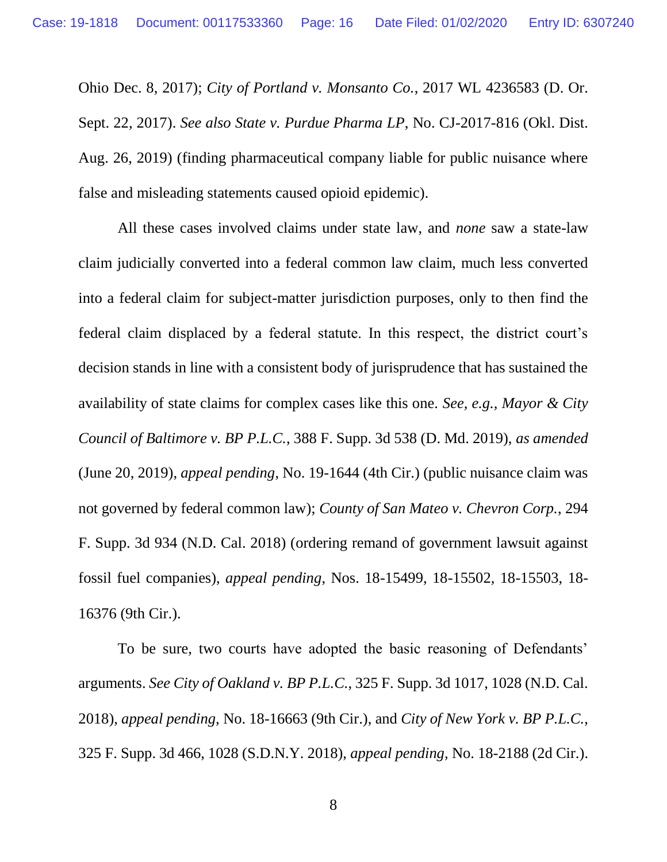Ohio Dec. 8, 2017); *City of Portland v. Monsanto Co.*, 2017 WL 4236583 (D. Or. Sept. 22, 2017). *See also State v. Purdue Pharma LP*, No. CJ-2017-816 (Okl. Dist. Aug. 26, 2019) (finding pharmaceutical company liable for public nuisance where false and misleading statements caused opioid epidemic).

All these cases involved claims under state law, and *none* saw a state-law claim judicially converted into a federal common law claim, much less converted into a federal claim for subject-matter jurisdiction purposes, only to then find the federal claim displaced by a federal statute. In this respect, the district court's decision stands in line with a consistent body of jurisprudence that has sustained the availability of state claims for complex cases like this one. *See, e.g., Mayor & City Council of Baltimore v. BP P.L.C.*, 388 F. Supp. 3d 538 (D. Md. 2019), *as amended* (June 20, 2019), *appeal pending*, No. 19-1644 (4th Cir.) (public nuisance claim was not governed by federal common law); *County of San Mateo v. Chevron Corp.*, 294 F. Supp. 3d 934 (N.D. Cal. 2018) (ordering remand of government lawsuit against fossil fuel companies), *appeal pending*, Nos. 18-15499, 18-15502, 18-15503, 18- 16376 (9th Cir.).

To be sure, two courts have adopted the basic reasoning of Defendants' arguments. *See City of Oakland v. BP P.L.C.*, 325 F. Supp. 3d 1017, 1028 (N.D. Cal. 2018), *appeal pending,* No. 18-16663 (9th Cir.), and *City of New York v. BP P.L.C.*, 325 F. Supp. 3d 466, 1028 (S.D.N.Y. 2018), *appeal pending,* No. 18-2188 (2d Cir.).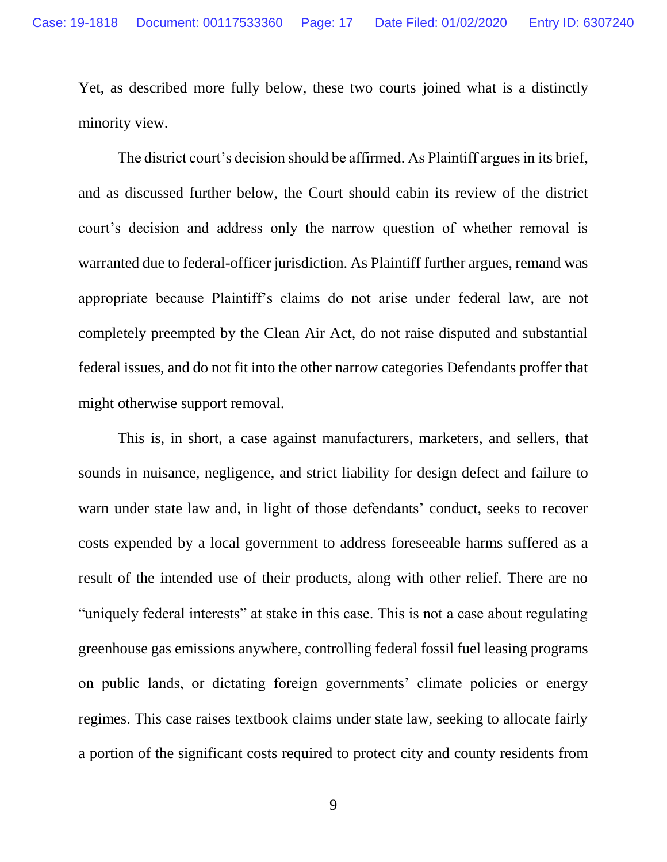Yet, as described more fully below, these two courts joined what is a distinctly minority view.

The district court's decision should be affirmed. As Plaintiff argues in its brief, and as discussed further below, the Court should cabin its review of the district court's decision and address only the narrow question of whether removal is warranted due to federal-officer jurisdiction. As Plaintiff further argues, remand was appropriate because Plaintiff's claims do not arise under federal law, are not completely preempted by the Clean Air Act, do not raise disputed and substantial federal issues, and do not fit into the other narrow categories Defendants proffer that might otherwise support removal.

This is, in short, a case against manufacturers, marketers, and sellers, that sounds in nuisance, negligence, and strict liability for design defect and failure to warn under state law and, in light of those defendants' conduct, seeks to recover costs expended by a local government to address foreseeable harms suffered as a result of the intended use of their products, along with other relief. There are no "uniquely federal interests" at stake in this case. This is not a case about regulating greenhouse gas emissions anywhere, controlling federal fossil fuel leasing programs on public lands, or dictating foreign governments' climate policies or energy regimes. This case raises textbook claims under state law, seeking to allocate fairly a portion of the significant costs required to protect city and county residents from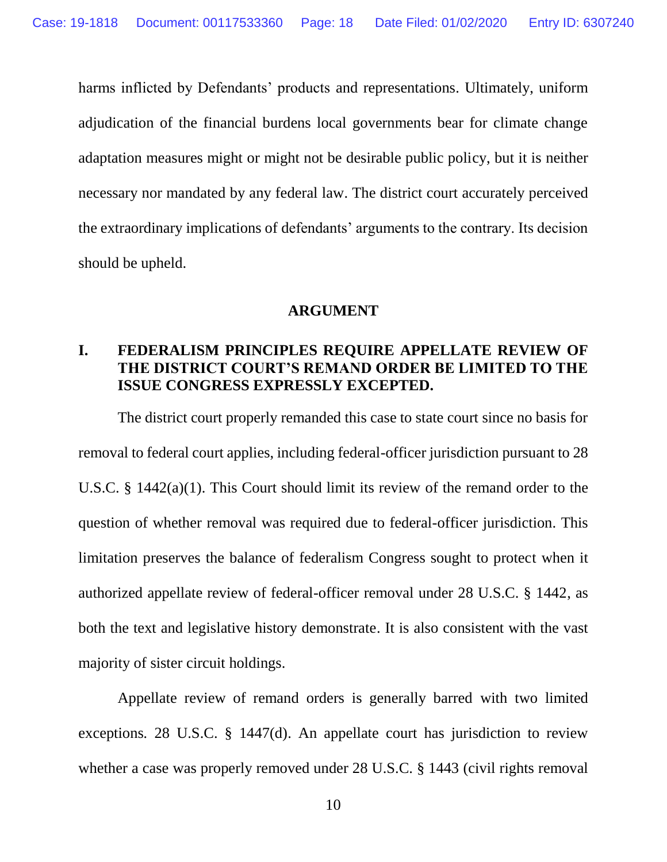harms inflicted by Defendants' products and representations. Ultimately, uniform adjudication of the financial burdens local governments bear for climate change adaptation measures might or might not be desirable public policy, but it is neither necessary nor mandated by any federal law. The district court accurately perceived the extraordinary implications of defendants' arguments to the contrary. Its decision should be upheld.

#### **ARGUMENT**

### <span id="page-17-1"></span><span id="page-17-0"></span>**I. FEDERALISM PRINCIPLES REQUIRE APPELLATE REVIEW OF THE DISTRICT COURT'S REMAND ORDER BE LIMITED TO THE ISSUE CONGRESS EXPRESSLY EXCEPTED.**

The district court properly remanded this case to state court since no basis for removal to federal court applies, including federal-officer jurisdiction pursuant to 28 U.S.C. § 1442(a)(1). This Court should limit its review of the remand order to the question of whether removal was required due to federal-officer jurisdiction. This limitation preserves the balance of federalism Congress sought to protect when it authorized appellate review of federal-officer removal under 28 U.S.C. § 1442, as both the text and legislative history demonstrate. It is also consistent with the vast majority of sister circuit holdings.

Appellate review of remand orders is generally barred with two limited exceptions*.* 28 U.S.C. § 1447(d). An appellate court has jurisdiction to review whether a case was properly removed under 28 U.S.C. § 1443 (civil rights removal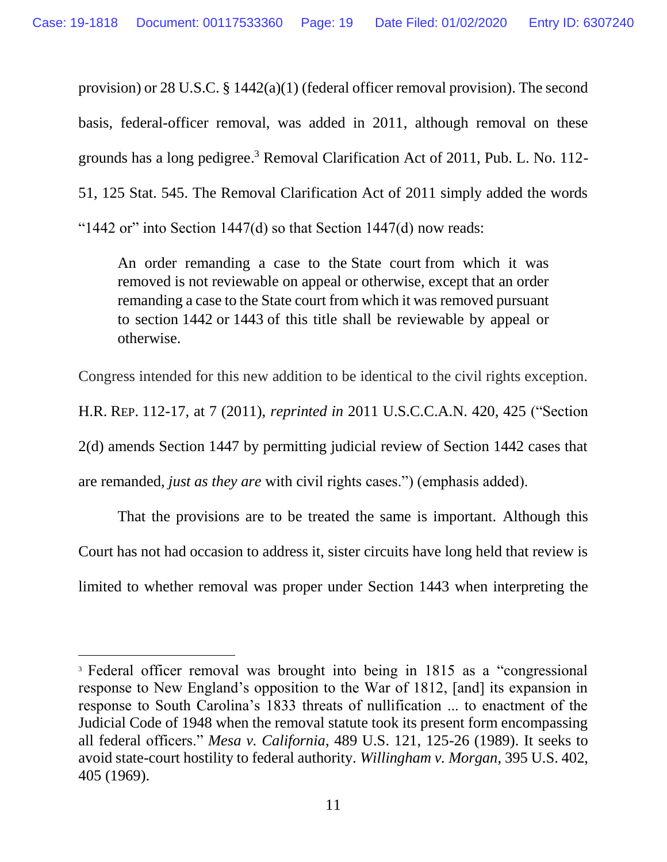provision) or 28 U.S.C. § 1442(a)(1) (federal officer removal provision). The second basis, federal-officer removal, was added in 2011, although removal on these grounds has a long pedigree. <sup>3</sup> Removal Clarification Act of 2011, Pub. L. No. 112- 51, 125 Stat. 545. The Removal Clarification Act of 2011 simply added the words "1442 or" into Section  $1447(d)$  so that Section  $1447(d)$  now reads:

An order remanding a case to the [State court](https://www.law.cornell.edu/definitions/uscode.php?width=840&height=800&iframe=true&def_id=28-USC-1383817500-1054448232&term_occur=38&term_src=title:28:part:IV:chapter:89:section:1447) from which it was removed is not reviewable on appeal or otherwise, except that an order remanding a case to the [State court](https://www.law.cornell.edu/definitions/uscode.php?width=840&height=800&iframe=true&def_id=28-USC-1383817500-1054448232&term_occur=39&term_src=title:28:part:IV:chapter:89:section:1447) from which it was removed pursuant to section [1442](https://www.law.cornell.edu/uscode/text/28/1442) or [1443](https://www.law.cornell.edu/uscode/text/28/1443) of this title shall be reviewable by appeal or otherwise.

Congress intended for this new addition to be identical to the civil rights exception.

H.R. REP. 112-17, at 7 (2011), *reprinted in* 2011 U.S.C.C.A.N. 420, 425 ("Section

2(d) amends Section 1447 by permitting judicial review of Section 1442 cases that

are remanded, *just as they are* with civil rights cases.") (emphasis added).

 $\overline{a}$ 

That the provisions are to be treated the same is important. Although this Court has not had occasion to address it, sister circuits have long held that review is limited to whether removal was proper under Section 1443 when interpreting the

<sup>&</sup>lt;sup>3</sup> Federal officer removal was brought into being in 1815 as a "congressional response to New England's opposition to the War of 1812, [and] its expansion in response to South Carolina's 1833 threats of nullification ... to enactment of the Judicial Code of 1948 when the removal statute took its present form encompassing all federal officers." *Mesa v. California*, 489 U.S. 121, 125-26 (1989). It seeks to avoid state-court hostility to federal authority. *Willingham v. Morgan*, 395 U.S. 402, 405 (1969).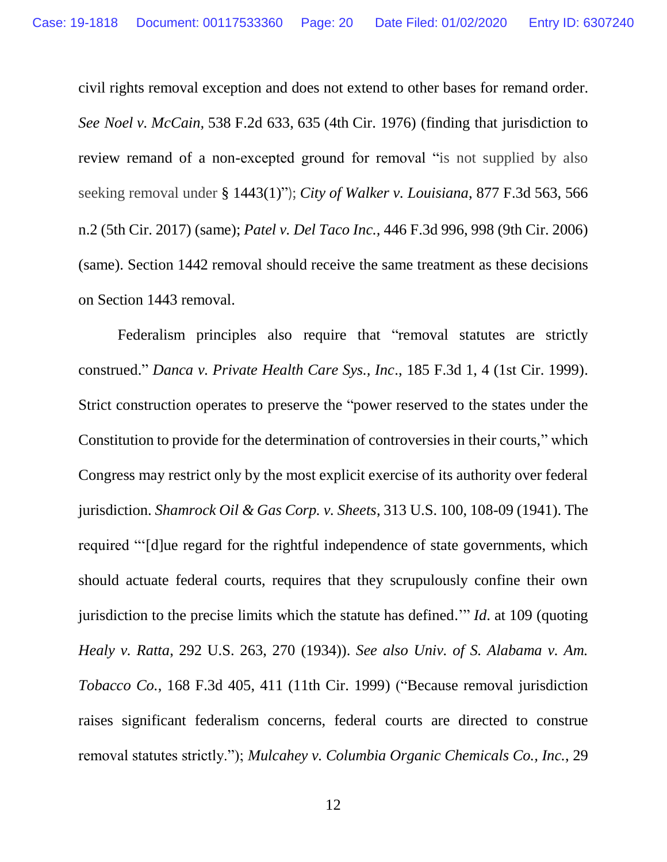civil rights removal exception and does not extend to other bases for remand order. *See Noel v. McCain,* 538 F.2d 633, 635 (4th Cir. 1976) (finding that jurisdiction to review remand of a non-excepted ground for removal "is not supplied by also seeking removal under § 1443(1)"); *City of Walker v. Louisiana*, 877 F.3d 563, 566 n.2 (5th Cir. 2017) (same); *Patel v. Del Taco Inc.,* 446 F.3d 996, 998 (9th Cir. 2006) (same). Section 1442 removal should receive the same treatment as these decisions on Section 1443 removal.

Federalism principles also require that "removal statutes are strictly construed." *Danca v. Private Health Care Sys., Inc*., 185 F.3d 1, 4 (1st Cir. 1999). Strict construction operates to preserve the "power reserved to the states under the Constitution to provide for the determination of controversies in their courts," which Congress may restrict only by the most explicit exercise of its authority over federal jurisdiction. *Shamrock Oil & Gas Corp. v. Sheets*, 313 U.S. 100, 108-09 (1941). The required "'[d]ue regard for the rightful independence of state governments, which should actuate federal courts, requires that they scrupulously confine their own jurisdiction to the precise limits which the statute has defined.'" *Id*. at 109 (quoting *Healy v. Ratta*, 292 U.S. 263, 270 (1934)). *See also Univ. of S. Alabama v. Am. Tobacco Co.*, 168 F.3d 405, 411 (11th Cir. 1999) ("Because removal jurisdiction raises significant federalism concerns, federal courts are directed to construe removal statutes strictly."); *Mulcahey v. Columbia Organic Chemicals Co., Inc.*, 29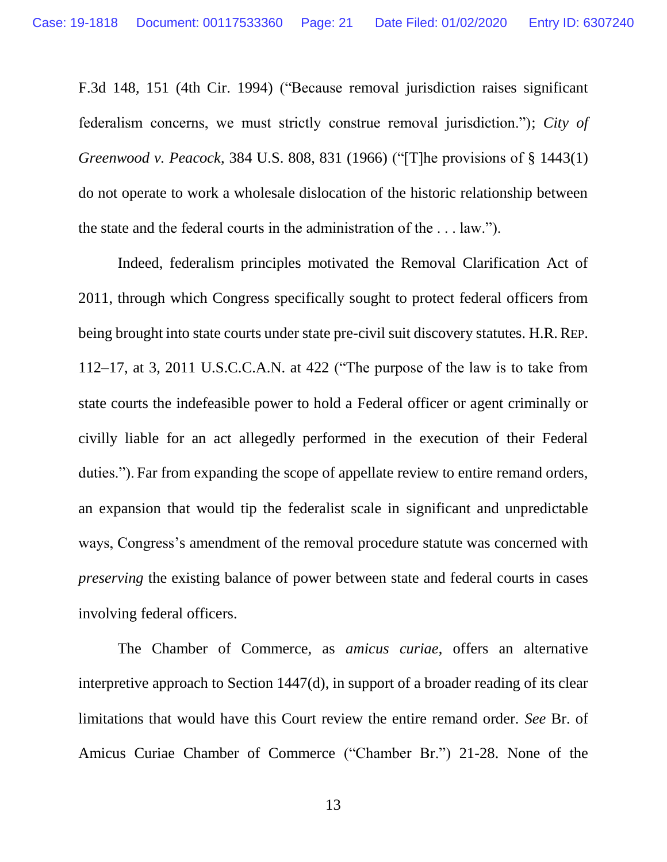F.3d 148, 151 (4th Cir. 1994) ("Because removal jurisdiction raises significant federalism concerns, we must strictly construe removal jurisdiction."); *City of Greenwood v. Peacock*, 384 U.S. 808, 831 (1966) ("[T]he provisions of § 1443(1) do not operate to work a wholesale dislocation of the historic relationship between the state and the federal courts in the administration of the . . . law.").

Indeed, federalism principles motivated the Removal Clarification Act of 2011, through which Congress specifically sought to protect federal officers from being brought into state courts under state pre-civil suit discovery statutes. H.R.R.EP. 112–17, at 3, 2011 U.S.C.C.A.N. at 422 ("The purpose of the law is to take from state courts the indefeasible power to hold a Federal officer or agent criminally or civilly liable for an act allegedly performed in the execution of their Federal duties."). Far from expanding the scope of appellate review to entire remand orders, an expansion that would tip the federalist scale in significant and unpredictable ways, Congress's amendment of the removal procedure statute was concerned with *preserving* the existing balance of power between state and federal courts in cases involving federal officers.

The Chamber of Commerce, as *amicus curiae*, offers an alternative interpretive approach to Section 1447(d), in support of a broader reading of its clear limitations that would have this Court review the entire remand order. *See* Br. of Amicus Curiae Chamber of Commerce ("Chamber Br.") 21-28. None of the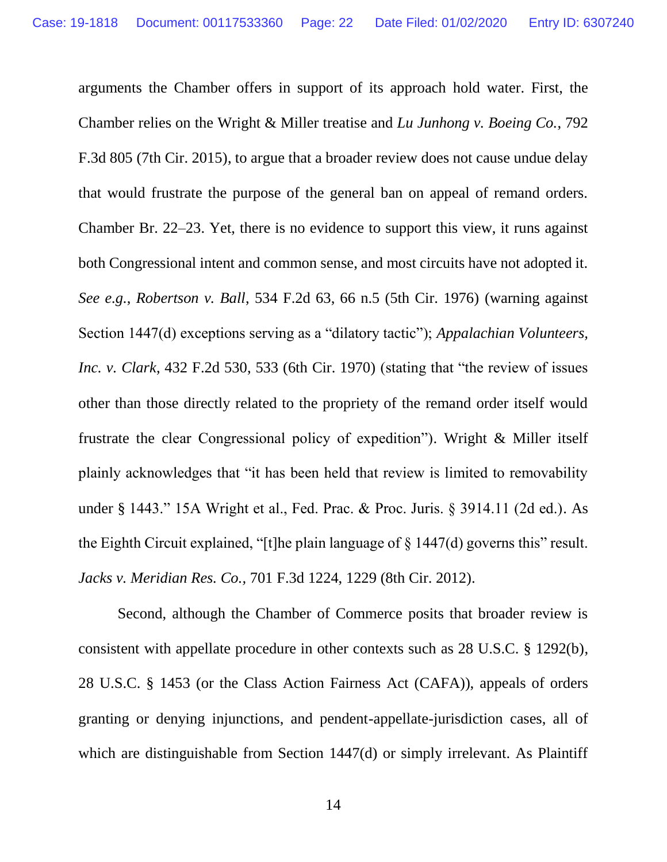arguments the Chamber offers in support of its approach hold water. First, the Chamber relies on the Wright & Miller treatise and *Lu Junhong v. Boeing Co.*, 792 F.3d 805 (7th Cir. 2015), to argue that a broader review does not cause undue delay that would frustrate the purpose of the general ban on appeal of remand orders. Chamber Br. 22–23. Yet, there is no evidence to support this view, it runs against both Congressional intent and common sense, and most circuits have not adopted it. *See e.g.*, *Robertson v. Ball*, 534 F.2d 63, 66 n.5 (5th Cir. 1976) (warning against Section 1447(d) exceptions serving as a "dilatory tactic"); *Appalachian Volunteers, Inc. v. Clark*, 432 F.2d 530, 533 (6th Cir. 1970) (stating that "the review of issues other than those directly related to the propriety of the remand order itself would frustrate the clear Congressional policy of expedition"). Wright & Miller itself plainly acknowledges that "it has been held that review is limited to removability under § 1443." 15A Wright et al., Fed. Prac. & Proc. Juris. § 3914.11 (2d ed.). As the Eighth Circuit explained, "[t]he plain language of  $\S$  1447(d) governs this" result. *Jacks v. Meridian Res. Co.,* 701 F.3d 1224, 1229 (8th Cir. 2012).

Second, although the Chamber of Commerce posits that broader review is consistent with appellate procedure in other contexts such as 28 U.S.C. § 1292(b), 28 U.S.C. § 1453 (or the Class Action Fairness Act (CAFA)), appeals of orders granting or denying injunctions, and pendent-appellate-jurisdiction cases, all of which are distinguishable from Section 1447(d) or simply irrelevant. As Plaintiff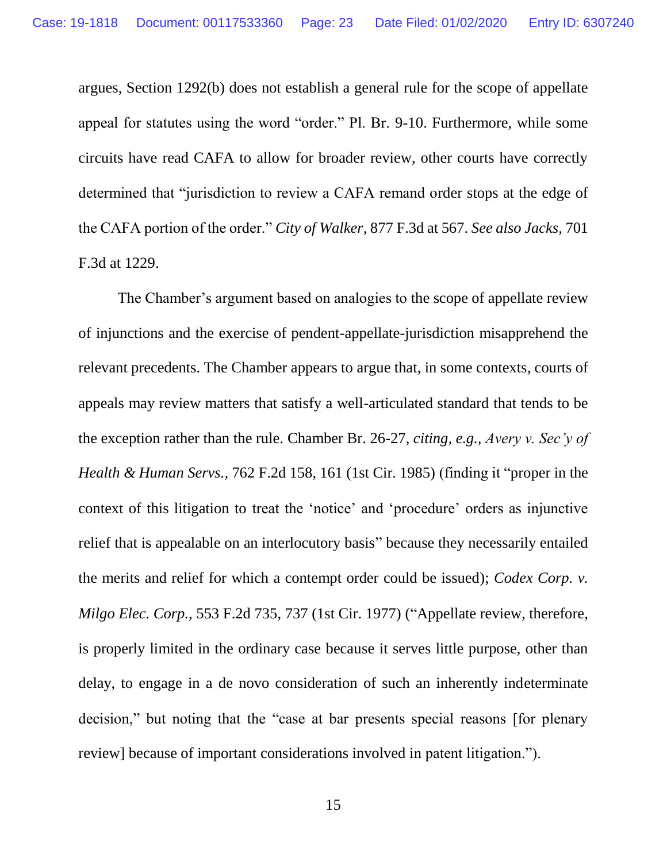argues, Section 1292(b) does not establish a general rule for the scope of appellate appeal for statutes using the word "order." Pl. Br. 9-10. Furthermore, while some circuits have read CAFA to allow for broader review, other courts have correctly determined that "jurisdiction to review a CAFA remand order stops at the edge of the CAFA portion of the order." *City of Walker*, 877 F.3d at 567. *See also [Jacks,](https://1.next.westlaw.com/Link/Document/FullText?findType=Y&serNum=2029450525&pubNum=0000506&originatingDoc=I383adac0d73111e7af08dbc2fa7f734f&refType=RP&fi=co_pp_sp_506_1228&originationContext=document&transitionType=DocumentItem&contextData=(sc.UserEnteredCitation)#co_pp_sp_506_1228)* 701 [F.3d at 1229.](https://1.next.westlaw.com/Link/Document/FullText?findType=Y&serNum=2029450525&pubNum=0000506&originatingDoc=I383adac0d73111e7af08dbc2fa7f734f&refType=RP&fi=co_pp_sp_506_1228&originationContext=document&transitionType=DocumentItem&contextData=(sc.UserEnteredCitation)#co_pp_sp_506_1228)

The Chamber's argument based on analogies to the scope of appellate review of injunctions and the exercise of pendent-appellate-jurisdiction misapprehend the relevant precedents. The Chamber appears to argue that, in some contexts, courts of appeals may review matters that satisfy a well-articulated standard that tends to be the exception rather than the rule. Chamber Br. 26-27, *citing, e.g., Avery v. Sec'y of Health & Human Servs.,* 762 F.2d 158, 161 (1st Cir. 1985) (finding it "proper in the context of this litigation to treat the 'notice' and 'procedure' orders as injunctive relief that is appealable on an interlocutory basis" because they necessarily entailed the merits and relief for which a contempt order could be issued); *Codex Corp. v. Milgo Elec. Corp.,* 553 F.2d 735, 737 (1st Cir. 1977) ("Appellate review, therefore, is properly limited in the ordinary case because it serves little purpose, other than delay, to engage in a de novo consideration of such an inherently indeterminate decision," but noting that the "case at bar presents special reasons [for plenary review] because of important considerations involved in patent litigation.").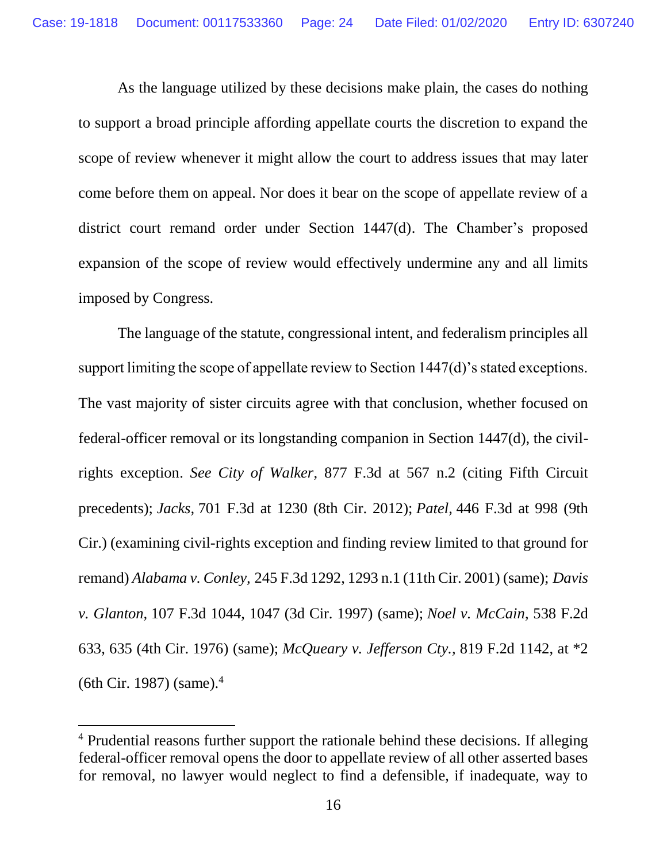As the language utilized by these decisions make plain, the cases do nothing to support a broad principle affording appellate courts the discretion to expand the scope of review whenever it might allow the court to address issues that may later come before them on appeal. Nor does it bear on the scope of appellate review of a district court remand order under Section 1447(d). The Chamber's proposed expansion of the scope of review would effectively undermine any and all limits imposed by Congress.

The language of the statute, congressional intent, and federalism principles all support limiting the scope of appellate review to Section 1447(d)'s stated exceptions. The vast majority of sister circuits agree with that conclusion, whether focused on federal-officer removal or its longstanding companion in Section 1447(d), the civilrights exception. *See City of Walker*, 877 F.3d at 567 n.2 (citing Fifth Circuit precedents); *Jacks,* 701 F.3d at 1230 [\(8th Cir. 2012\);](https://1.next.westlaw.com/Link/Document/FullText?findType=Y&serNum=2029450525&pubNum=0000506&originatingDoc=I48e52910e96411e9be36860eb2f983f8&refType=RP&fi=co_pp_sp_506_1229&originationContext=document&transitionType=DocumentItem&contextData=(sc.Keycite)#co_pp_sp_506_1229) *Patel,* [446 F.3d at](https://1.next.westlaw.com/Link/Document/FullText?findType=Y&serNum=2009070653&pubNum=0000506&originatingDoc=I48e52910e96411e9be36860eb2f983f8&refType=RP&fi=co_pp_sp_506_998&originationContext=document&transitionType=DocumentItem&contextData=(sc.Keycite)#co_pp_sp_506_998) 998 (9th [Cir.\)](https://1.next.westlaw.com/Link/Document/FullText?findType=Y&serNum=2009070653&pubNum=0000506&originatingDoc=I48e52910e96411e9be36860eb2f983f8&refType=RP&fi=co_pp_sp_506_998&originationContext=document&transitionType=DocumentItem&contextData=(sc.Keycite)#co_pp_sp_506_998) (examining civil-rights exception and finding review limited to that ground for remand) *Alabama v. Conley,* [245 F.3d 1292, 1293 n.1 \(11th Cir. 2001\)](https://1.next.westlaw.com/Link/Document/FullText?findType=Y&serNum=2001260892&pubNum=0000506&originatingDoc=I48e52910e96411e9be36860eb2f983f8&refType=RP&fi=co_pp_sp_506_1293&originationContext=document&transitionType=DocumentItem&contextData=(sc.Keycite)#co_pp_sp_506_1293) (same); *[Davis](https://1.next.westlaw.com/Link/Document/FullText?findType=Y&serNum=1997061471&pubNum=0000506&originatingDoc=I48e52910e96411e9be36860eb2f983f8&refType=RP&fi=co_pp_sp_506_1047&originationContext=document&transitionType=DocumentItem&contextData=(sc.Keycite)#co_pp_sp_506_1047)  v. Glanton,* [107 F.3d 1044, 1047 \(3d Cir. 1997\)](https://1.next.westlaw.com/Link/Document/FullText?findType=Y&serNum=1997061471&pubNum=0000506&originatingDoc=I48e52910e96411e9be36860eb2f983f8&refType=RP&fi=co_pp_sp_506_1047&originationContext=document&transitionType=DocumentItem&contextData=(sc.Keycite)#co_pp_sp_506_1047) (same); *[Noel v. McCain](https://1.next.westlaw.com/Link/Document/FullText?findType=Y&serNum=1976123958&pubNum=0000350&originatingDoc=I48e52910e96411e9be36860eb2f983f8&refType=RP&fi=co_pp_sp_350_635&originationContext=document&transitionType=DocumentItem&contextData=(sc.Keycite)#co_pp_sp_350_635)*, 538 F.2d [633, 635 \(4th Cir. 1976\)](https://1.next.westlaw.com/Link/Document/FullText?findType=Y&serNum=1976123958&pubNum=0000350&originatingDoc=I48e52910e96411e9be36860eb2f983f8&refType=RP&fi=co_pp_sp_350_635&originationContext=document&transitionType=DocumentItem&contextData=(sc.Keycite)#co_pp_sp_350_635) (same); *McQueary v. Jefferson Cty.,* 819 F.2d 1142, at \*2 (6th Cir. 1987) (same). 4

 $\overline{a}$ 

<sup>&</sup>lt;sup>4</sup> Prudential reasons further support the rationale behind these decisions. If alleging federal-officer removal opens the door to appellate review of all other asserted bases for removal, no lawyer would neglect to find a defensible, if inadequate, way to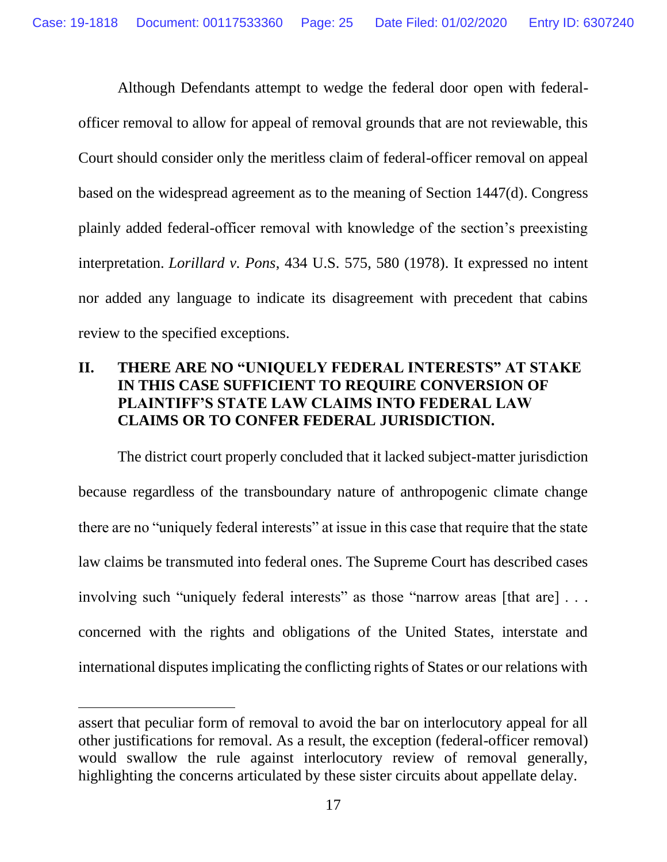Although Defendants attempt to wedge the federal door open with federalofficer removal to allow for appeal of removal grounds that are not reviewable, this Court should consider only the meritless claim of federal-officer removal on appeal based on the widespread agreement as to the meaning of Section 1447(d). Congress plainly added federal-officer removal with knowledge of the section's preexisting interpretation. *Lorillard v. Pons*, 434 U.S. 575, 580 (1978). It expressed no intent nor added any language to indicate its disagreement with precedent that cabins review to the specified exceptions.

### <span id="page-24-0"></span>**II. THERE ARE NO "UNIQUELY FEDERAL INTERESTS" AT STAKE IN THIS CASE SUFFICIENT TO REQUIRE CONVERSION OF PLAINTIFF'S STATE LAW CLAIMS INTO FEDERAL LAW CLAIMS OR TO CONFER FEDERAL JURISDICTION.**

The district court properly concluded that it lacked subject-matter jurisdiction because regardless of the transboundary nature of anthropogenic climate change there are no "uniquely federal interests" at issue in this case that require that the state law claims be transmuted into federal ones. The Supreme Court has described cases involving such "uniquely federal interests" as those "narrow areas [that are] . . . concerned with the rights and obligations of the United States, interstate and international disputes implicating the conflicting rights of States or our relations with

 $\overline{a}$ 

assert that peculiar form of removal to avoid the bar on interlocutory appeal for all other justifications for removal. As a result, the exception (federal-officer removal) would swallow the rule against interlocutory review of removal generally, highlighting the concerns articulated by these sister circuits about appellate delay.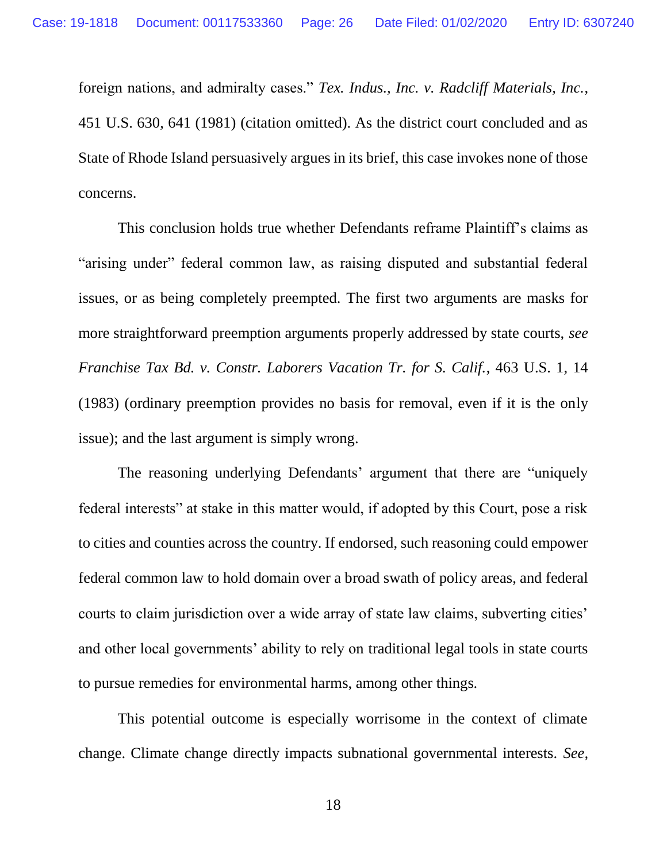foreign nations, and admiralty cases." *Tex. Indus., Inc. v. Radcliff Materials, Inc.*, 451 U.S. 630, 641 (1981) (citation omitted). As the district court concluded and as State of Rhode Island persuasively argues in its brief, this case invokes none of those concerns.

This conclusion holds true whether Defendants reframe Plaintiff's claims as "arising under" federal common law, as raising disputed and substantial federal issues, or as being completely preempted. The first two arguments are masks for more straightforward preemption arguments properly addressed by state courts, *see Franchise Tax Bd. v. Constr. Laborers Vacation Tr. for S. Calif.*, 463 U.S. 1, 14 (1983) (ordinary preemption provides no basis for removal, even if it is the only issue); and the last argument is simply wrong.

The reasoning underlying Defendants' argument that there are "uniquely federal interests" at stake in this matter would, if adopted by this Court, pose a risk to cities and counties across the country. If endorsed, such reasoning could empower federal common law to hold domain over a broad swath of policy areas, and federal courts to claim jurisdiction over a wide array of state law claims, subverting cities' and other local governments' ability to rely on traditional legal tools in state courts to pursue remedies for environmental harms, among other things.

This potential outcome is especially worrisome in the context of climate change. Climate change directly impacts subnational governmental interests. *See,*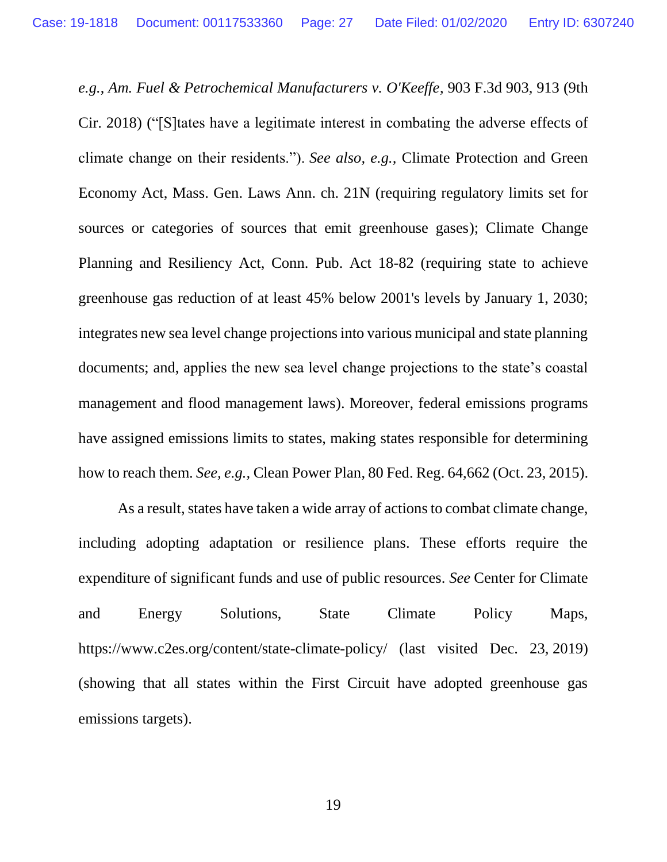*e.g.*, *Am. Fuel & Petrochemical Manufacturers v. O'Keeffe*, 903 F.3d 903, 913 (9th Cir. 2018) ("[S]tates have a legitimate interest in combating the adverse effects of climate change on their residents."). *See also, e.g.,* Climate Protection and Green Economy Act, Mass. Gen. Laws Ann. ch. 21N (requiring regulatory limits set for sources or categories of sources that emit greenhouse gases); Climate Change Planning and Resiliency Act, Conn. Pub. Act 18-82 (requiring state to achieve greenhouse gas reduction of at least 45% below 2001's levels by January 1, 2030; integrates new sea level change projections into various municipal and state planning documents; and, applies the new sea level change projections to the state's coastal management and flood management laws). Moreover, federal emissions programs have assigned emissions limits to states, making states responsible for determining how to reach them. *See, e.g.,* Clean Power Plan, 80 Fed. Reg. 64,662 (Oct. 23, 2015).

As a result, states have taken a wide array of actions to combat climate change, including adopting adaptation or resilience plans. These efforts require the expenditure of significant funds and use of public resources. *See* Center for Climate and Energy Solutions, State Climate Policy Maps, <https://www.c2es.org/content/state-climate-policy/> (last visited Dec. 23, 2019) (showing that all states within the First Circuit have adopted greenhouse gas emissions targets).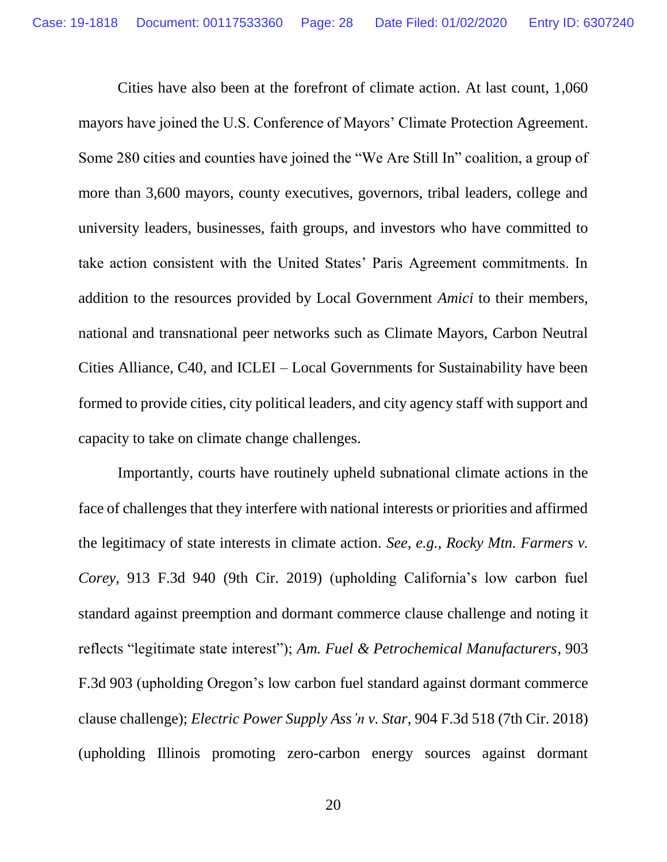Cities have also been at the forefront of climate action. At last count, 1,060 mayors have joined the U.S. Conference of Mayors' Climate Protection Agreement. Some 280 cities and counties have joined the "We Are Still In" coalition, a group of more than 3,600 mayors, county executives, governors, tribal leaders, college and university leaders, businesses, faith groups, and investors who have committed to take action consistent with the United States' Paris Agreement commitments. In addition to the resources provided by Local Government *Amici* to their members, national and transnational peer networks such as Climate Mayors, Carbon Neutral Cities Alliance, C40, and ICLEI – Local Governments for Sustainability have been formed to provide cities, city political leaders, and city agency staff with support and capacity to take on climate change challenges.

Importantly, courts have routinely upheld subnational climate actions in the face of challenges that they interfere with national interests or priorities and affirmed the legitimacy of state interests in climate action. *See, e.g.*, *Rocky Mtn. Farmers v. Corey*, 913 F.3d 940 (9th Cir. 2019) (upholding California's low carbon fuel standard against preemption and dormant commerce clause challenge and noting it reflects "legitimate state interest"); *Am. Fuel & Petrochemical Manufacturers,* 903 F.3d 903 (upholding Oregon's low carbon fuel standard against dormant commerce clause challenge); *Electric Power Supply Ass'n v. Star*, 904 F.3d 518 (7th Cir. 2018) (upholding Illinois promoting zero-carbon energy sources against dormant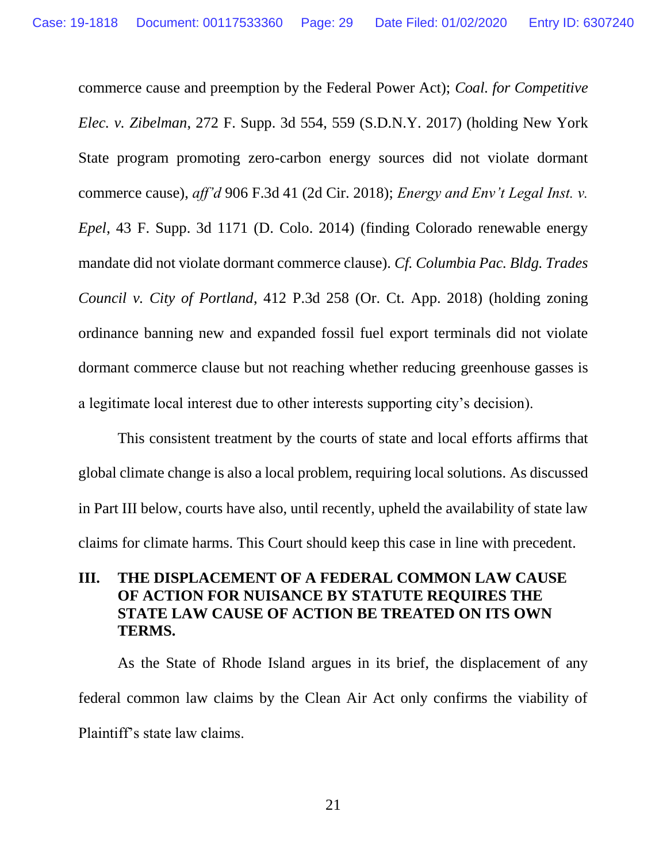commerce cause and preemption by the Federal Power Act); *Coal. for Competitive Elec. v. Zibelman*, 272 F. Supp. 3d 554, 559 (S.D.N.Y. 2017) (holding New York State program promoting zero-carbon energy sources did not violate dormant commerce cause), *aff'd* 906 F.3d 41 (2d Cir. 2018); *Energy and Env't Legal Inst. v. Epel*, 43 F. Supp. 3d 1171 (D. Colo. 2014) (finding Colorado renewable energy mandate did not violate dormant commerce clause). *Cf. Columbia Pac. Bldg. Trades Council v. City of Portland*, 412 P.3d 258 (Or. Ct. App. 2018) (holding zoning ordinance banning new and expanded fossil fuel export terminals did not violate dormant commerce clause but not reaching whether reducing greenhouse gasses is a legitimate local interest due to other interests supporting city's decision).

This consistent treatment by the courts of state and local efforts affirms that global climate change is also a local problem, requiring local solutions. As discussed in Part III below, courts have also, until recently, upheld the availability of state law claims for climate harms. This Court should keep this case in line with precedent.

### <span id="page-28-0"></span>**III. THE DISPLACEMENT OF A FEDERAL COMMON LAW CAUSE OF ACTION FOR NUISANCE BY STATUTE REQUIRES THE STATE LAW CAUSE OF ACTION BE TREATED ON ITS OWN TERMS.**

As the State of Rhode Island argues in its brief, the displacement of any federal common law claims by the Clean Air Act only confirms the viability of Plaintiff's state law claims.

21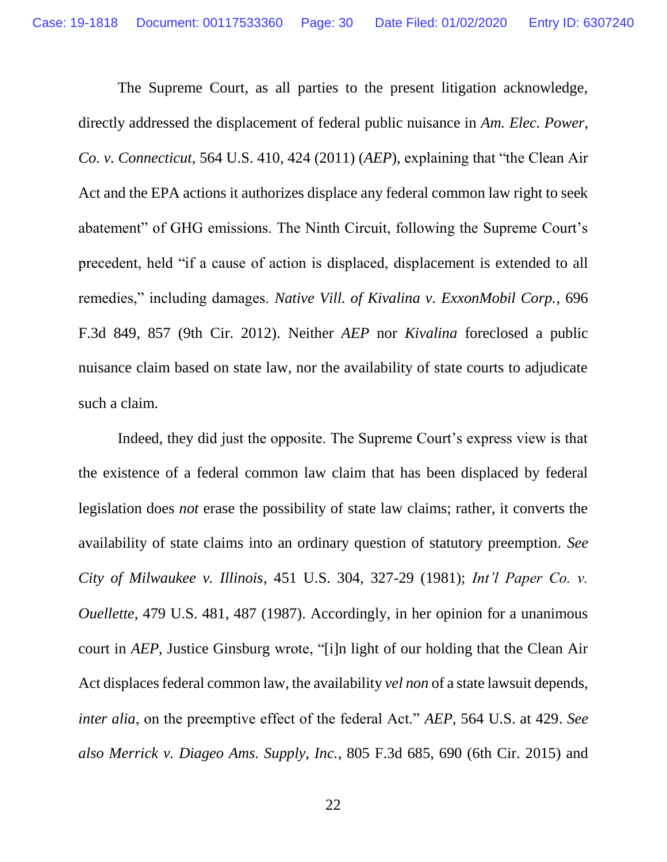The Supreme Court, as all parties to the present litigation acknowledge, directly addressed the displacement of federal public nuisance in *Am. Elec. Power, Co. v. Connecticut*, 564 U.S. 410, 424 (2011) (*AEP*), explaining that "the Clean Air Act and the EPA actions it authorizes displace any federal common law right to seek abatement" of GHG emissions. The Ninth Circuit, following the Supreme Court's precedent, held "if a cause of action is displaced, displacement is extended to all remedies," including damages. *Native Vill. of Kivalina v. ExxonMobil Corp.*, 696 F.3d 849, 857 (9th Cir. 2012). Neither *AEP* nor *Kivalina* foreclosed a public nuisance claim based on state law, nor the availability of state courts to adjudicate such a claim.

Indeed, they did just the opposite. The Supreme Court's express view is that the existence of a federal common law claim that has been displaced by federal legislation does *not* erase the possibility of state law claims; rather, it converts the availability of state claims into an ordinary question of statutory preemption. *See City of Milwaukee v. Illinois*, 451 U.S. 304, 327-29 (1981); *Int'l Paper Co. v. Ouellette*, 479 U.S. 481, 487 (1987). Accordingly, in her opinion for a unanimous court in *AEP*, Justice Ginsburg wrote, "[i]n light of our holding that the Clean Air Act displaces federal common law, the availability *vel non* of a state lawsuit depends, *inter alia*, on the preemptive effect of the federal Act." *AEP*, 564 U.S. at 429. *See also Merrick v. Diageo Ams. Supply, Inc.*, 805 F.3d 685, 690 (6th Cir. 2015) and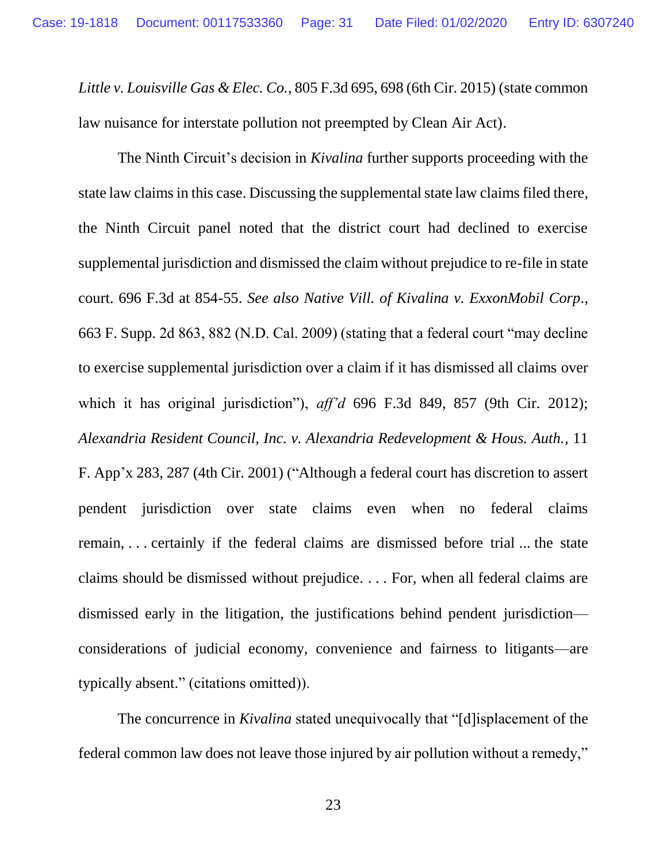*Little v. Louisville Gas & Elec. Co.*, 805 F.3d 695, 698 (6th Cir. 2015) (state common law nuisance for interstate pollution not preempted by Clean Air Act).

The Ninth Circuit's decision in *Kivalina* further supports proceeding with the state law claims in this case. Discussing the supplemental state law claims filed there, the Ninth Circuit panel noted that the district court had declined to exercise supplemental jurisdiction and dismissed the claim without prejudice to re-file in state court. 696 F.3d at 854-55. *See also Native Vill. of Kivalina v. ExxonMobil Corp.*, 663 F. Supp. 2d 863, 882 (N.D. Cal. 2009) (stating that a federal court "may decline to exercise supplemental jurisdiction over a claim if it has dismissed all claims over which it has original jurisdiction"), *aff'd* 696 F.3d 849, 857 (9th Cir. 2012); *Alexandria Resident Council, Inc. v. Alexandria Redevelopment & Hous. Auth.*, 11 F. App'x 283, 287 (4th Cir. 2001) ("Although a federal court has discretion to assert pendent jurisdiction over state claims even when no federal claims remain, . . . certainly if the federal claims are dismissed before trial ... the state claims should be dismissed without prejudice. . . . For, when all federal claims are dismissed early in the litigation, the justifications behind pendent jurisdiction considerations of judicial economy, convenience and fairness to litigants—are typically absent." (citations omitted)).

The concurrence in *Kivalina* stated unequivocally that "[d]isplacement of the federal common law does not leave those injured by air pollution without a remedy,"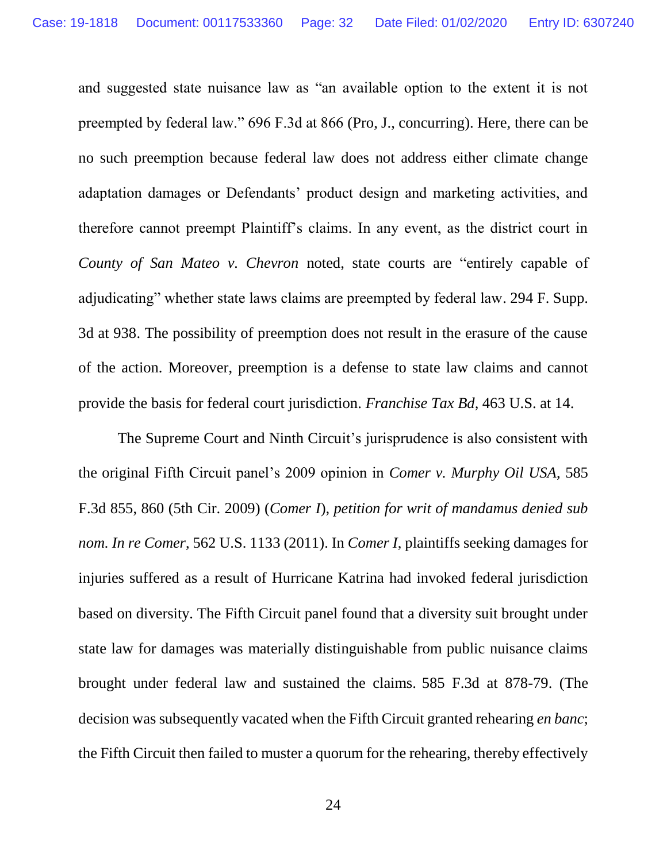and suggested state nuisance law as "an available option to the extent it is not preempted by federal law." 696 F.3d at 866 (Pro, J., concurring). Here, there can be no such preemption because federal law does not address either climate change adaptation damages or Defendants' product design and marketing activities, and therefore cannot preempt Plaintiff's claims. In any event, as the district court in *County of San Mateo v. Chevron* noted, state courts are "entirely capable of adjudicating" whether state laws claims are preempted by federal law. 294 F. Supp. 3d at 938. The possibility of preemption does not result in the erasure of the cause of the action. Moreover, preemption is a defense to state law claims and cannot provide the basis for federal court jurisdiction. *Franchise Tax Bd,* 463 U.S. at 14.

The Supreme Court and Ninth Circuit's jurisprudence is also consistent with the original Fifth Circuit panel's 2009 opinion in *Comer v. Murphy Oil USA*, 585 F.3d 855, 860 (5th Cir. 2009) (*Comer I*), *petition for writ of mandamus denied sub nom. In re Comer*, 562 U.S. 1133 (2011). In *Comer I*, plaintiffs seeking damages for injuries suffered as a result of Hurricane Katrina had invoked federal jurisdiction based on diversity. The Fifth Circuit panel found that a diversity suit brought under state law for damages was materially distinguishable from public nuisance claims brought under federal law and sustained the claims. 585 F.3d at 878-79. (The decision was subsequently vacated when the Fifth Circuit granted rehearing *en banc*; the Fifth Circuit then failed to muster a quorum for the rehearing, thereby effectively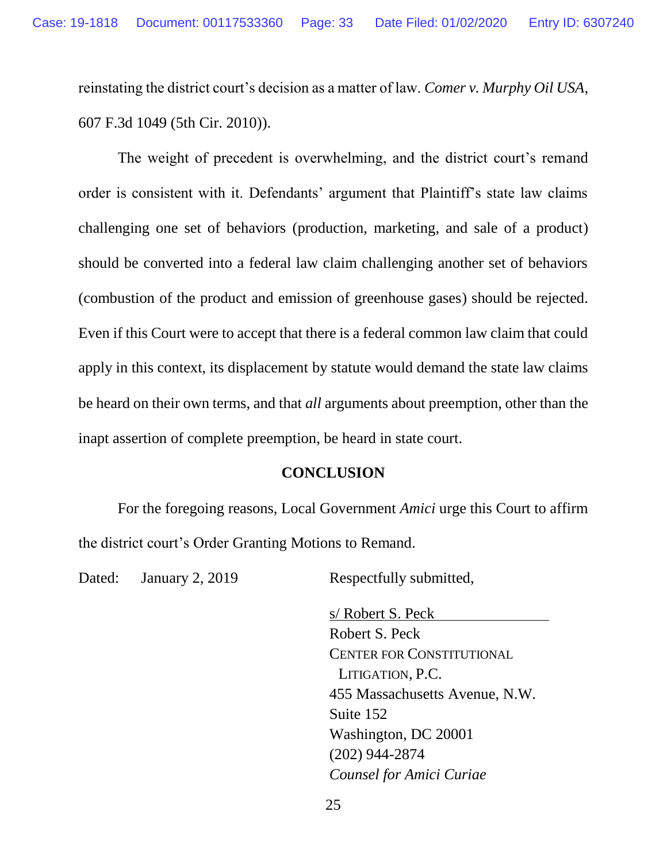reinstating the district court's decision as a matter of law. *Comer v. Murphy Oil USA*, 607 F.3d 1049 (5th Cir. 2010)).

The weight of precedent is overwhelming, and the district court's remand order is consistent with it. Defendants' argument that Plaintiff's state law claims challenging one set of behaviors (production, marketing, and sale of a product) should be converted into a federal law claim challenging another set of behaviors (combustion of the product and emission of greenhouse gases) should be rejected. Even if this Court were to accept that there is a federal common law claim that could apply in this context, its displacement by statute would demand the state law claims be heard on their own terms, and that *all* arguments about preemption, other than the inapt assertion of complete preemption, be heard in state court.

#### **CONCLUSION**

<span id="page-32-0"></span>For the foregoing reasons, Local Government *Amici* urge this Court to affirm the district court's Order Granting Motions to Remand.

Dated: January 2, 2019 Respectfully submitted,

s/ Robert S. Peck Robert S. Peck CENTER FOR CONSTITUTIONAL LITIGATION, P.C. 455 Massachusetts Avenue, N.W. Suite 152 Washington, DC 20001 (202) 944-2874 *Counsel for Amici Curiae*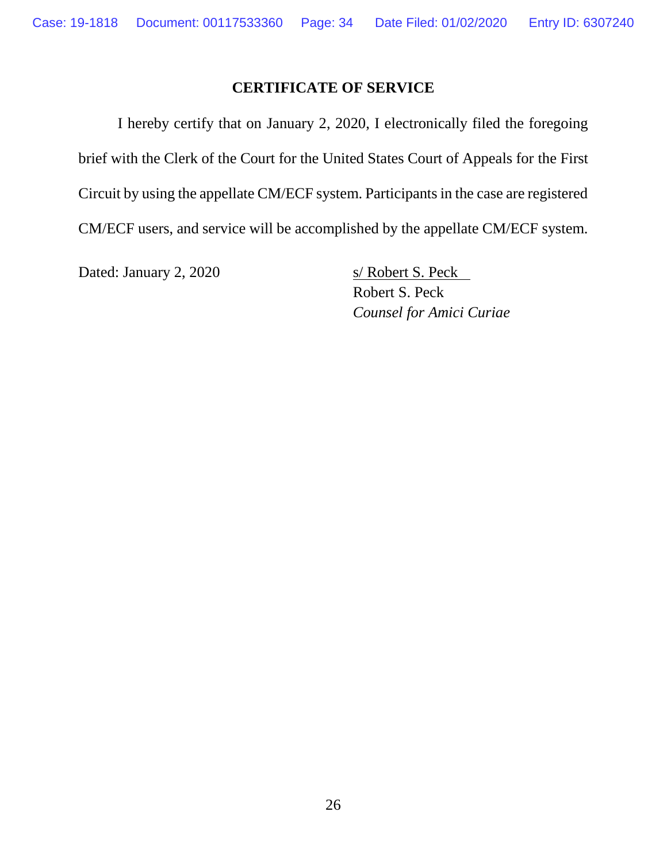### **CERTIFICATE OF SERVICE**

<span id="page-33-0"></span>I hereby certify that on January 2, 2020, I electronically filed the foregoing brief with the Clerk of the Court for the United States Court of Appeals for the First Circuit by using the appellate CM/ECF system. Participants in the case are registered CM/ECF users, and service will be accomplished by the appellate CM/ECF system.

Dated: January 2, 2020 s/ Robert S. Peck

Robert S. Peck *Counsel for Amici Curiae*